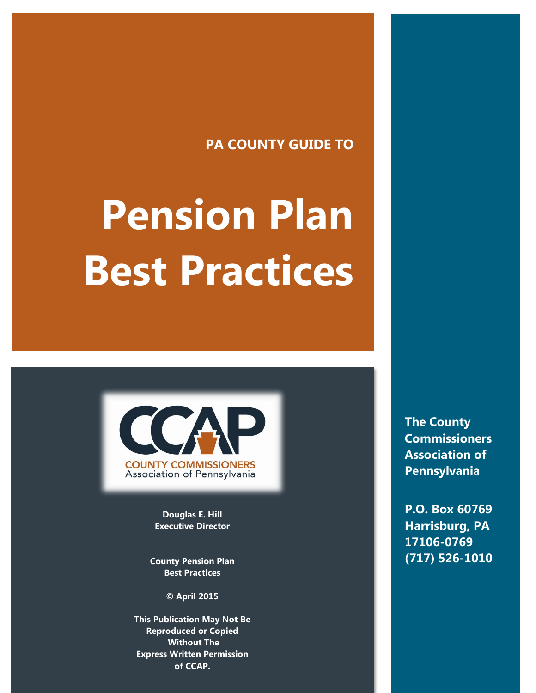# **PA COUNTY GUIDE TO**

# **Pension Plan Best Practices**



**Douglas E. Hill Executive Director**

**County Pension Plan Best Practices**

**© April 2015**

**This Publication May Not Be Reproduced or Copied Without The Express Written Permission of CCAP.**

**The County Commissioners Association of Pennsylvania**

**P.O. Box 60769 Harrisburg, PA 17106-0769 (717) 526-1010**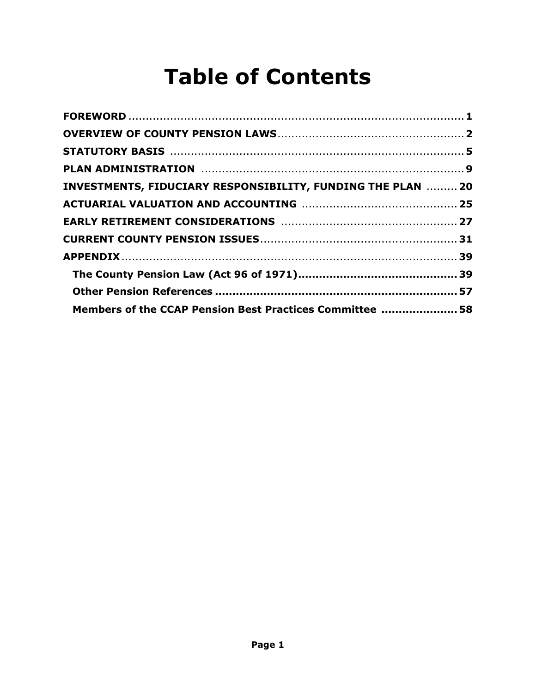# **Table of Contents**

| PLAN ADMINISTRATION MARRIED AND ACCORDING ASSESSMENT PLAN ADMINISTRATION |  |
|--------------------------------------------------------------------------|--|
| INVESTMENTS, FIDUCIARY RESPONSIBILITY, FUNDING THE PLAN  20              |  |
|                                                                          |  |
|                                                                          |  |
|                                                                          |  |
|                                                                          |  |
|                                                                          |  |
|                                                                          |  |
| Members of the CCAP Pension Best Practices Committee  58                 |  |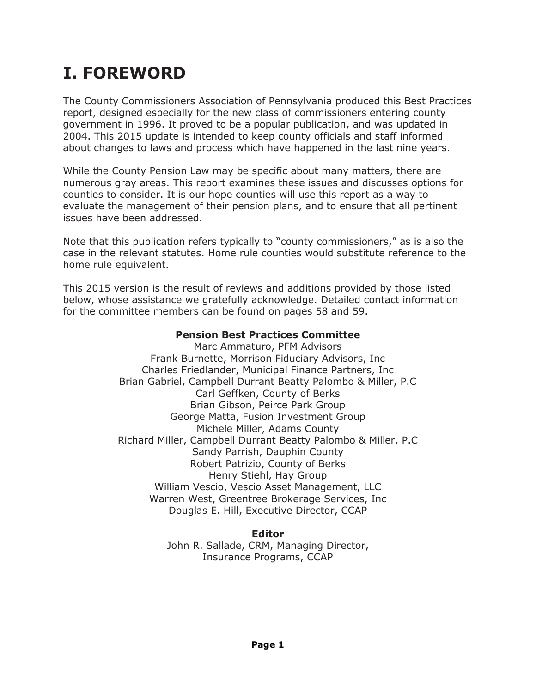# **I. FOREWORD**

The County Commissioners Association of Pennsylvania produced this Best Practices report, designed especially for the new class of commissioners entering county government in 1996. It proved to be a popular publication, and was updated in 2004. This 2015 update is intended to keep county officials and staff informed about changes to laws and process which have happened in the last nine years.

While the County Pension Law may be specific about many matters, there are numerous gray areas. This report examines these issues and discusses options for counties to consider. It is our hope counties will use this report as a way to evaluate the management of their pension plans, and to ensure that all pertinent issues have been addressed.

Note that this publication refers typically to "county commissioners," as is also the case in the relevant statutes. Home rule counties would substitute reference to the home rule equivalent.

This 2015 version is the result of reviews and additions provided by those listed below, whose assistance we gratefully acknowledge. Detailed contact information for the committee members can be found on pages 58 and 59.

#### **Pension Best Practices Committee**

Marc Ammaturo, PFM Advisors Frank Burnette, Morrison Fiduciary Advisors, Inc Charles Friedlander, Municipal Finance Partners, Inc Brian Gabriel, Campbell Durrant Beatty Palombo & Miller, P.C Carl Geffken, County of Berks Brian Gibson, Peirce Park Group George Matta, Fusion Investment Group Michele Miller, Adams County Richard Miller, Campbell Durrant Beatty Palombo & Miller, P.C Sandy Parrish, Dauphin County Robert Patrizio, County of Berks Henry Stiehl, Hay Group William Vescio, Vescio Asset Management, LLC Warren West, Greentree Brokerage Services, Inc Douglas E. Hill, Executive Director, CCAP

**Editor**

John R. Sallade, CRM, Managing Director, Insurance Programs, CCAP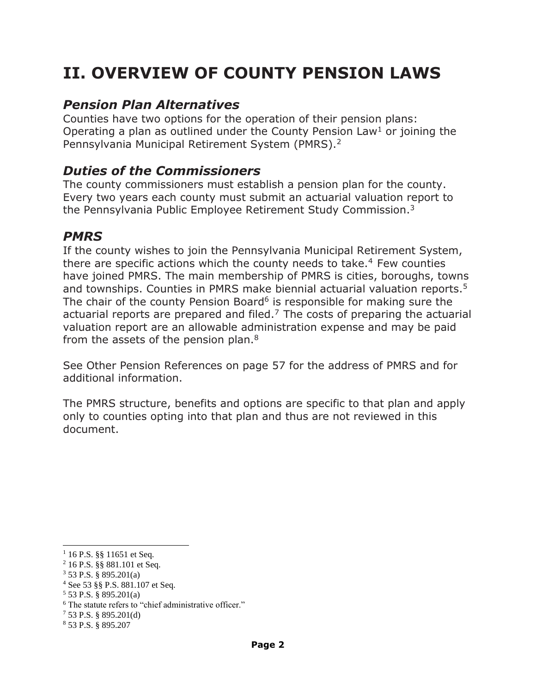# **II. OVERVIEW OF COUNTY PENSION LAWS**

# *Pension Plan Alternatives*

Counties have two options for the operation of their pension plans: Operating a plan as outlined under the County Pension Law<sup>1</sup> or joining the Pennsylvania Municipal Retirement System (PMRS).<sup>2</sup>

# *Duties of the Commissioners*

The county commissioners must establish a pension plan for the county. Every two years each county must submit an actuarial valuation report to the Pennsylvania Public Employee Retirement Study Commission.<sup>3</sup>

# *PMRS*

If the county wishes to join the Pennsylvania Municipal Retirement System, there are specific actions which the county needs to take. $4$  Few counties have joined PMRS. The main membership of PMRS is cities, boroughs, towns and townships. Counties in PMRS make biennial actuarial valuation reports. 5 The chair of the county Pension Board<sup>6</sup> is responsible for making sure the actuarial reports are prepared and filed.<sup>7</sup> The costs of preparing the actuarial valuation report are an allowable administration expense and may be paid from the assets of the pension plan.<sup>8</sup>

See Other Pension References on page 57 for the address of PMRS and for additional information.

The PMRS structure, benefits and options are specific to that plan and apply only to counties opting into that plan and thus are not reviewed in this document.

 $\overline{a}$ 

 $1\,16$  P.S. §§ 11651 et Seq.

<sup>2</sup> 16 P.S. §§ 881.101 et Seq.

<sup>3</sup> 53 P.S. § 895.201(a)

<sup>4</sup> See 53 §§ P.S. 881.107 et Seq.

 $5$  53 P.S. § 895.201(a)

<sup>&</sup>lt;sup>6</sup> The statute refers to "chief administrative officer."

<sup>7</sup> 53 P.S. § 895.201(d)

<sup>8</sup> 53 P.S. § 895.207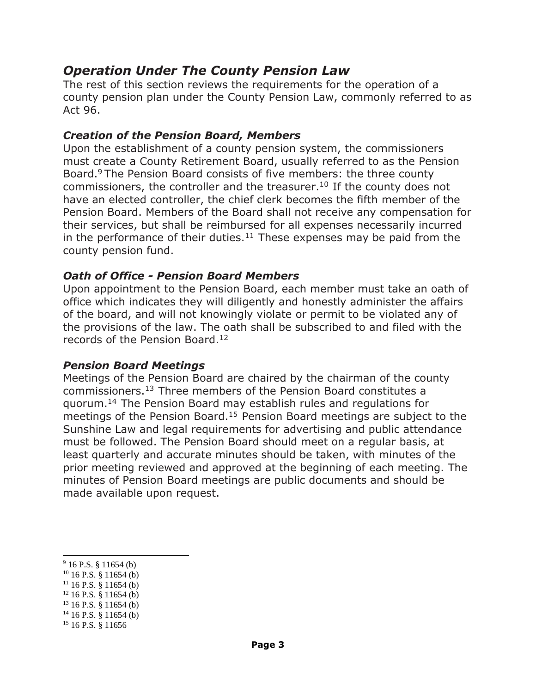# *Operation Under The County Pension Law*

The rest of this section reviews the requirements for the operation of a county pension plan under the County Pension Law, commonly referred to as Act 96.

#### *Creation of the Pension Board, Members*

Upon the establishment of a county pension system, the commissioners must create a County Retirement Board, usually referred to as the Pension Board.<sup>9</sup> The Pension Board consists of five members: the three county commissioners, the controller and the treasurer.<sup>10</sup> If the county does not have an elected controller, the chief clerk becomes the fifth member of the Pension Board. Members of the Board shall not receive any compensation for their services, but shall be reimbursed for all expenses necessarily incurred in the performance of their duties.<sup>11</sup> These expenses may be paid from the county pension fund.

#### *Oath of Office - Pension Board Members*

Upon appointment to the Pension Board, each member must take an oath of office which indicates they will diligently and honestly administer the affairs of the board, and will not knowingly violate or permit to be violated any of the provisions of the law. The oath shall be subscribed to and filed with the records of the Pension Board.<sup>12</sup>

#### *Pension Board Meetings*

Meetings of the Pension Board are chaired by the chairman of the county commissioners.<sup>13</sup> Three members of the Pension Board constitutes a quorum.<sup>14</sup> The Pension Board may establish rules and regulations for meetings of the Pension Board.<sup>15</sup> Pension Board meetings are subject to the Sunshine Law and legal requirements for advertising and public attendance must be followed. The Pension Board should meet on a regular basis, at least quarterly and accurate minutes should be taken, with minutes of the prior meeting reviewed and approved at the beginning of each meeting. The minutes of Pension Board meetings are public documents and should be made available upon request.

 $\overline{a}$  $9$  16 P.S. § 11654 (b)

 $10$  16 P.S. § 11654 (b)

 $11$  16 P.S. § 11654 (b)

 $12$  16 P.S. § 11654 (b)

 $13$  16 P.S. § 11654 (b)

 $14$  16 P.S. § 11654 (b)

<sup>&</sup>lt;sup>15</sup> 16 P.S. § 11656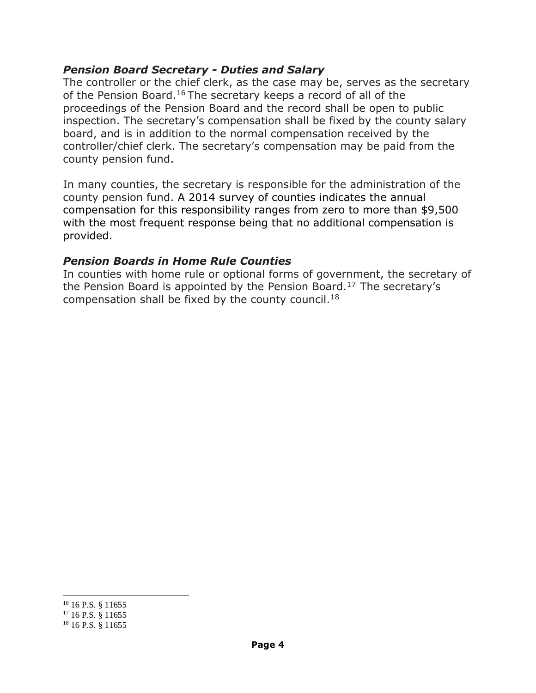#### *Pension Board Secretary - Duties and Salary*

The controller or the chief clerk, as the case may be, serves as the secretary of the Pension Board.<sup>16</sup> The secretary keeps a record of all of the proceedings of the Pension Board and the record shall be open to public inspection. The secretary's compensation shall be fixed by the county salary board, and is in addition to the normal compensation received by the controller/chief clerk. The secretary's compensation may be paid from the county pension fund.

In many counties, the secretary is responsible for the administration of the county pension fund. A 2014 survey of counties indicates the annual compensation for this responsibility ranges from zero to more than \$9,500 with the most frequent response being that no additional compensation is provided.

#### *Pension Boards in Home Rule Counties*

In counties with home rule or optional forms of government, the secretary of the Pension Board is appointed by the Pension Board.<sup>17</sup> The secretary's compensation shall be fixed by the county council.<sup>18</sup>

l <sup>16</sup> 16 P.S. § 11655

 $17$  16 P.S.  $8$  11655

<sup>&</sup>lt;sup>18</sup> 16 P.S. § 11655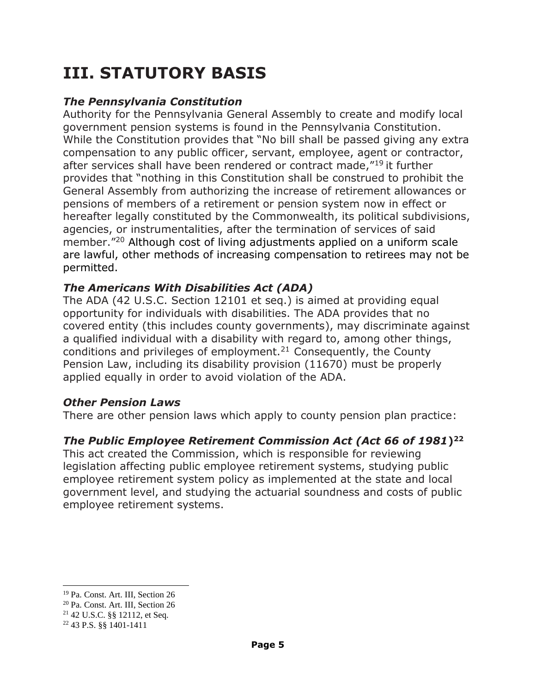# **III. STATUTORY BASIS**

#### *The Pennsylvania Constitution*

Authority for the Pennsylvania General Assembly to create and modify local government pension systems is found in the Pennsylvania Constitution. While the Constitution provides that "No bill shall be passed giving any extra compensation to any public officer, servant, employee, agent or contractor, after services shall have been rendered or contract made,"<sup>19</sup> it further provides that "nothing in this Constitution shall be construed to prohibit the General Assembly from authorizing the increase of retirement allowances or pensions of members of a retirement or pension system now in effect or hereafter legally constituted by the Commonwealth, its political subdivisions, agencies, or instrumentalities, after the termination of services of said member."<sup>20</sup> Although cost of living adjustments applied on a uniform scale are lawful, other methods of increasing compensation to retirees may not be permitted.

# *The Americans With Disabilities Act (ADA)*

The ADA (42 U.S.C. Section 12101 et seq.) is aimed at providing equal opportunity for individuals with disabilities. The ADA provides that no covered entity (this includes county governments), may discriminate against a qualified individual with a disability with regard to, among other things, conditions and privileges of employment.<sup>21</sup> Consequently, the County Pension Law, including its disability provision (11670) must be properly applied equally in order to avoid violation of the ADA.

#### *Other Pension Laws*

There are other pension laws which apply to county pension plan practice:

# *The Public Employee Retirement Commission Act (Act 66 of 1981***) 22**

This act created the Commission, which is responsible for reviewing legislation affecting public employee retirement systems, studying public employee retirement system policy as implemented at the state and local government level, and studying the actuarial soundness and costs of public employee retirement systems.

 $\overline{a}$ 

<sup>19</sup> Pa. Const. Art. III, Section 26

<sup>20</sup> Pa. Const. Art. III, Section 26

<sup>21</sup> 42 U.S.C. §§ 12112, et Seq.

<sup>22</sup> 43 P.S. §§ 1401-1411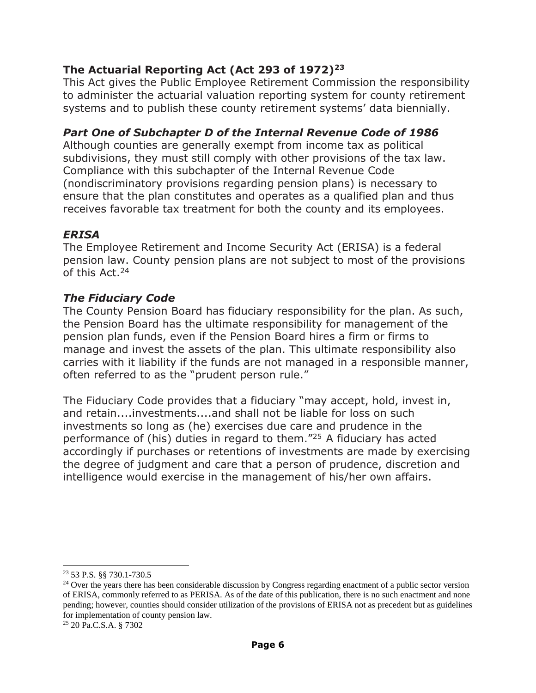### **The Actuarial Reporting Act (Act 293 of 1972)<sup>23</sup>**

This Act gives the Public Employee Retirement Commission the responsibility to administer the actuarial valuation reporting system for county retirement systems and to publish these county retirement systems' data biennially.

#### *Part One of Subchapter D of the Internal Revenue Code of 1986*

Although counties are generally exempt from income tax as political subdivisions, they must still comply with other provisions of the tax law. Compliance with this subchapter of the Internal Revenue Code (nondiscriminatory provisions regarding pension plans) is necessary to ensure that the plan constitutes and operates as a qualified plan and thus receives favorable tax treatment for both the county and its employees.

#### *ERISA*

The Employee Retirement and Income Security Act (ERISA) is a federal pension law. County pension plans are not subject to most of the provisions of this Act.<sup>24</sup>

#### *The Fiduciary Code*

The County Pension Board has fiduciary responsibility for the plan. As such, the Pension Board has the ultimate responsibility for management of the pension plan funds, even if the Pension Board hires a firm or firms to manage and invest the assets of the plan. This ultimate responsibility also carries with it liability if the funds are not managed in a responsible manner, often referred to as the "prudent person rule."

The Fiduciary Code provides that a fiduciary "may accept, hold, invest in, and retain....investments....and shall not be liable for loss on such investments so long as (he) exercises due care and prudence in the performance of (his) duties in regard to them."<sup>25</sup> A fiduciary has acted accordingly if purchases or retentions of investments are made by exercising the degree of judgment and care that a person of prudence, discretion and intelligence would exercise in the management of his/her own affairs.

 $\overline{a}$ <sup>23</sup> 53 P.S. §§ 730.1-730.5

 $24$  Over the years there has been considerable discussion by Congress regarding enactment of a public sector version of ERISA, commonly referred to as PERISA. As of the date of this publication, there is no such enactment and none pending; however, counties should consider utilization of the provisions of ERISA not as precedent but as guidelines for implementation of county pension law.

<sup>25</sup> 20 Pa.C.S.A. § 7302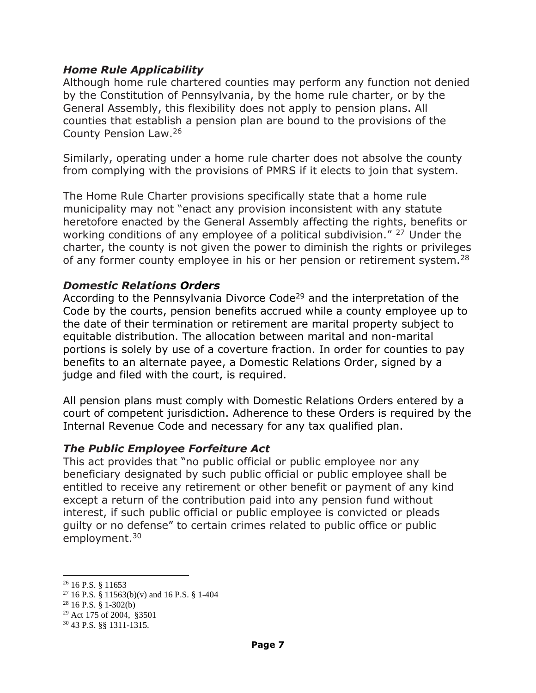#### *Home Rule Applicability*

Although home rule chartered counties may perform any function not denied by the Constitution of Pennsylvania, by the home rule charter, or by the General Assembly, this flexibility does not apply to pension plans. All counties that establish a pension plan are bound to the provisions of the County Pension Law.<sup>26</sup>

Similarly, operating under a home rule charter does not absolve the county from complying with the provisions of PMRS if it elects to join that system.

The Home Rule Charter provisions specifically state that a home rule municipality may not "enact any provision inconsistent with any statute heretofore enacted by the General Assembly affecting the rights, benefits or working conditions of any employee of a political subdivision." <sup>27</sup> Under the charter, the county is not given the power to diminish the rights or privileges of any former county employee in his or her pension or retirement system.<sup>28</sup>

#### *Domestic Relations Orders*

According to the Pennsylvania Divorce Code<sup>29</sup> and the interpretation of the Code by the courts, pension benefits accrued while a county employee up to the date of their termination or retirement are marital property subject to equitable distribution. The allocation between marital and non-marital portions is solely by use of a coverture fraction. In order for counties to pay benefits to an alternate payee, a Domestic Relations Order, signed by a judge and filed with the court, is required.

All pension plans must comply with Domestic Relations Orders entered by a court of competent jurisdiction. Adherence to these Orders is required by the Internal Revenue Code and necessary for any tax qualified plan.

#### *The Public Employee Forfeiture Act*

This act provides that "no public official or public employee nor any beneficiary designated by such public official or public employee shall be entitled to receive any retirement or other benefit or payment of any kind except a return of the contribution paid into any pension fund without interest, if such public official or public employee is convicted or pleads guilty or no defense" to certain crimes related to public office or public employment.<sup>30</sup>

 $\overline{a}$ 

<sup>26</sup> 16 P.S. § 11653

<sup>&</sup>lt;sup>27</sup> 16 P.S. § 11563(b)(v) and 16 P.S. § 1-404

 $28$  16 P.S. § 1-302(b)

<sup>29</sup> Act 175 of 2004, §3501

<sup>30</sup> 43 P.S. §§ 1311-1315.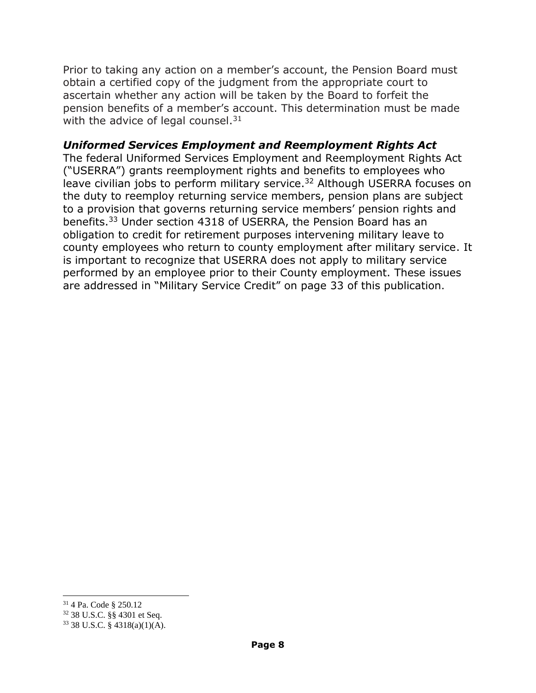Prior to taking any action on a member's account, the Pension Board must obtain a certified copy of the judgment from the appropriate court to ascertain whether any action will be taken by the Board to forfeit the pension benefits of a member's account. This determination must be made with the advice of legal counsel. $31$ 

#### *Uniformed Services Employment and Reemployment Rights Act*

The federal Uniformed Services Employment and Reemployment Rights Act ("USERRA") grants reemployment rights and benefits to employees who leave civilian jobs to perform military service.<sup>32</sup> Although USERRA focuses on the duty to reemploy returning service members, pension plans are subject to a provision that governs returning service members' pension rights and benefits.<sup>33</sup> Under section 4318 of USERRA, the Pension Board has an obligation to credit for retirement purposes intervening military leave to county employees who return to county employment after military service. It is important to recognize that USERRA does not apply to military service performed by an employee prior to their County employment. These issues are addressed in "Military Service Credit" on page 33 of this publication.

l

<sup>31</sup> 4 Pa. Code § 250.12

<sup>32</sup> 38 U.S.C. §§ 4301 et Seq.

<sup>33</sup> 38 U.S.C. § 4318(a)(1)(A).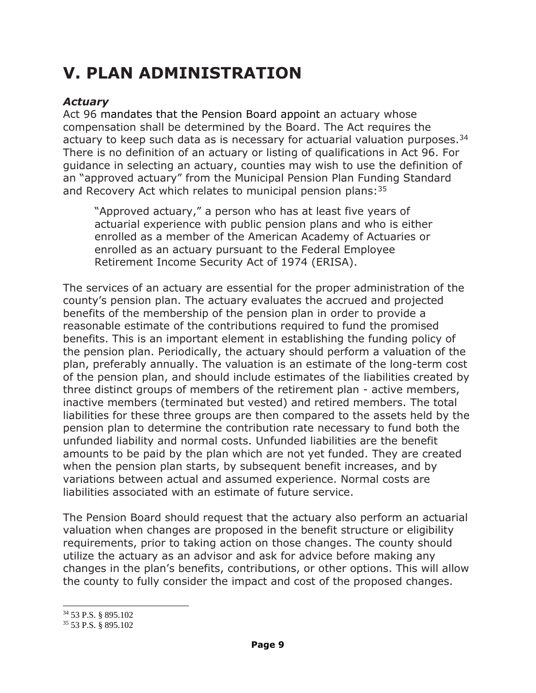# **V. PLAN ADMINISTRATION**

#### *Actuary*

Act 96 mandates that the Pension Board appoint an actuary whose compensation shall be determined by the Board. The Act requires the actuary to keep such data as is necessary for actuarial valuation purposes.  $34$ There is no definition of an actuary or listing of qualifications in Act 96. For guidance in selecting an actuary, counties may wish to use the definition of an "approved actuary" from the Municipal Pension Plan Funding Standard and Recovery Act which relates to municipal pension plans:  $35$ 

"Approved actuary," a person who has at least five years of actuarial experience with public pension plans and who is either enrolled as a member of the American Academy of Actuaries or enrolled as an actuary pursuant to the Federal Employee Retirement Income Security Act of 1974 (ERISA).

The services of an actuary are essential for the proper administration of the county's pension plan. The actuary evaluates the accrued and projected benefits of the membership of the pension plan in order to provide a reasonable estimate of the contributions required to fund the promised benefits. This is an important element in establishing the funding policy of the pension plan. Periodically, the actuary should perform a valuation of the plan, preferably annually. The valuation is an estimate of the long-term cost of the pension plan, and should include estimates of the liabilities created by three distinct groups of members of the retirement plan - active members, inactive members (terminated but vested) and retired members. The total liabilities for these three groups are then compared to the assets held by the pension plan to determine the contribution rate necessary to fund both the unfunded liability and normal costs. Unfunded liabilities are the benefit amounts to be paid by the plan which are not yet funded. They are created when the pension plan starts, by subsequent benefit increases, and by variations between actual and assumed experience. Normal costs are liabilities associated with an estimate of future service.

The Pension Board should request that the actuary also perform an actuarial valuation when changes are proposed in the benefit structure or eligibility requirements, prior to taking action on those changes. The county should utilize the actuary as an advisor and ask for advice before making any changes in the plan's benefits, contributions, or other options. This will allow the county to fully consider the impact and cost of the proposed changes.

 $\overline{a}$ 

<sup>34</sup> 53 P.S. § 895.102

<sup>35</sup> 53 P.S. § 895.102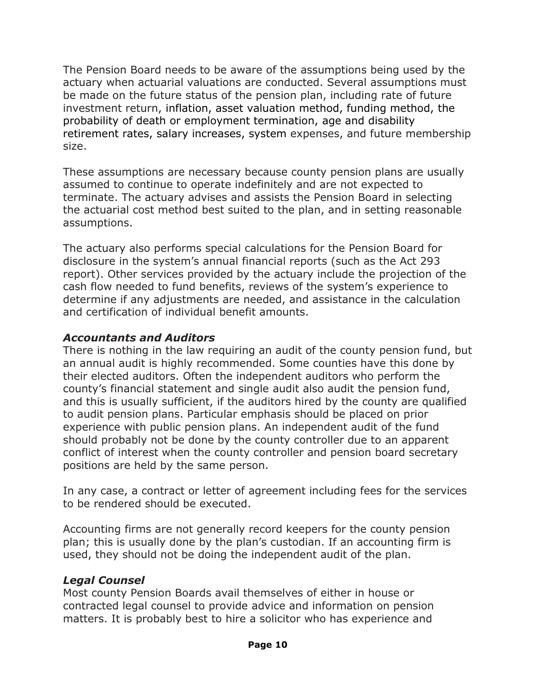The Pension Board needs to be aware of the assumptions being used by the actuary when actuarial valuations are conducted. Several assumptions must be made on the future status of the pension plan, including rate of future investment return, inflation, asset valuation method, funding method, the probability of death or employment termination, age and disability retirement rates, salary increases, system expenses, and future membership size.

These assumptions are necessary because county pension plans are usually assumed to continue to operate indefinitely and are not expected to terminate. The actuary advises and assists the Pension Board in selecting the actuarial cost method best suited to the plan, and in setting reasonable assumptions.

The actuary also performs special calculations for the Pension Board for disclosure in the system's annual financial reports (such as the Act 293 report). Other services provided by the actuary include the projection of the cash flow needed to fund benefits, reviews of the system's experience to determine if any adjustments are needed, and assistance in the calculation and certification of individual benefit amounts.

#### *Accountants and Auditors*

There is nothing in the law requiring an audit of the county pension fund, but an annual audit is highly recommended. Some counties have this done by their elected auditors. Often the independent auditors who perform the county's financial statement and single audit also audit the pension fund, and this is usually sufficient, if the auditors hired by the county are qualified to audit pension plans. Particular emphasis should be placed on prior experience with public pension plans. An independent audit of the fund should probably not be done by the county controller due to an apparent conflict of interest when the county controller and pension board secretary positions are held by the same person.

In any case, a contract or letter of agreement including fees for the services to be rendered should be executed.

Accounting firms are not generally record keepers for the county pension plan; this is usually done by the plan's custodian. If an accounting firm is used, they should not be doing the independent audit of the plan.

#### *Legal Counsel*

Most county Pension Boards avail themselves of either in house or contracted legal counsel to provide advice and information on pension matters. It is probably best to hire a solicitor who has experience and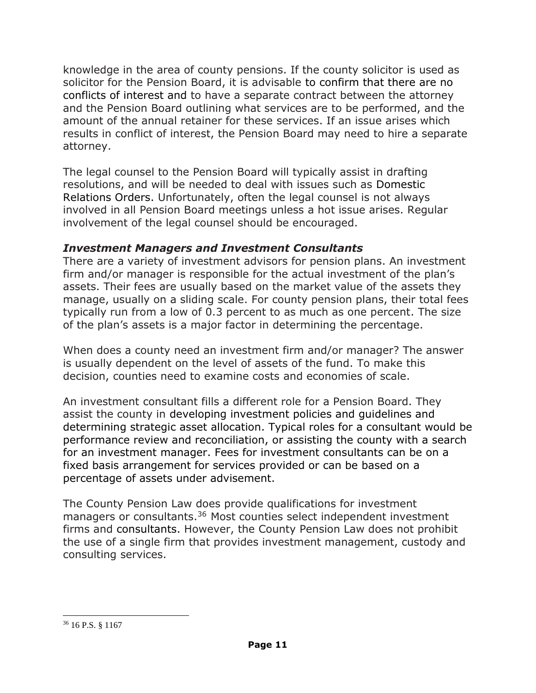knowledge in the area of county pensions. If the county solicitor is used as solicitor for the Pension Board, it is advisable to confirm that there are no conflicts of interest and to have a separate contract between the attorney and the Pension Board outlining what services are to be performed, and the amount of the annual retainer for these services. If an issue arises which results in conflict of interest, the Pension Board may need to hire a separate attorney.

The legal counsel to the Pension Board will typically assist in drafting resolutions, and will be needed to deal with issues such as Domestic Relations Orders. Unfortunately, often the legal counsel is not always involved in all Pension Board meetings unless a hot issue arises. Regular involvement of the legal counsel should be encouraged.

#### *Investment Managers and Investment Consultants*

There are a variety of investment advisors for pension plans. An investment firm and/or manager is responsible for the actual investment of the plan's assets. Their fees are usually based on the market value of the assets they manage, usually on a sliding scale. For county pension plans, their total fees typically run from a low of 0.3 percent to as much as one percent. The size of the plan's assets is a major factor in determining the percentage.

When does a county need an investment firm and/or manager? The answer is usually dependent on the level of assets of the fund. To make this decision, counties need to examine costs and economies of scale.

An investment consultant fills a different role for a Pension Board. They assist the county in developing investment policies and guidelines and determining strategic asset allocation. Typical roles for a consultant would be performance review and reconciliation, or assisting the county with a search for an investment manager. Fees for investment consultants can be on a fixed basis arrangement for services provided or can be based on a percentage of assets under advisement.

The County Pension Law does provide qualifications for investment managers or consultants.<sup>36</sup> Most counties select independent investment firms and consultants. However, the County Pension Law does not prohibit the use of a single firm that provides investment management, custody and consulting services.

l <sup>36</sup> 16 P.S. § 1167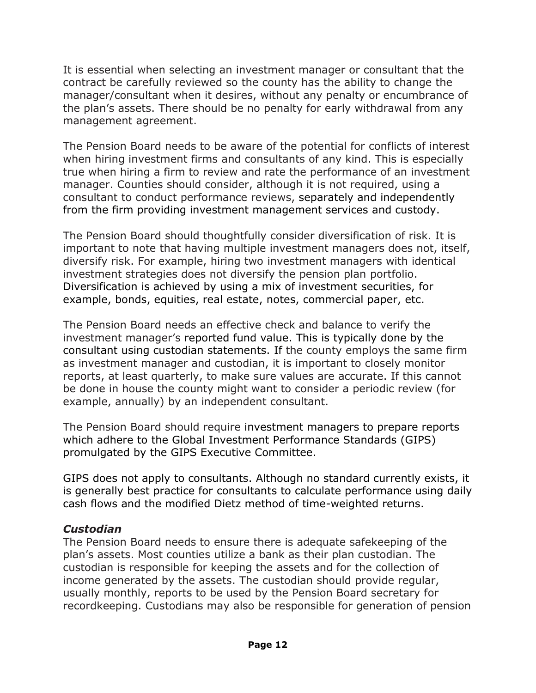It is essential when selecting an investment manager or consultant that the contract be carefully reviewed so the county has the ability to change the manager/consultant when it desires, without any penalty or encumbrance of the plan's assets. There should be no penalty for early withdrawal from any management agreement.

The Pension Board needs to be aware of the potential for conflicts of interest when hiring investment firms and consultants of any kind. This is especially true when hiring a firm to review and rate the performance of an investment manager. Counties should consider, although it is not required, using a consultant to conduct performance reviews, separately and independently from the firm providing investment management services and custody.

The Pension Board should thoughtfully consider diversification of risk. It is important to note that having multiple investment managers does not, itself, diversify risk. For example, hiring two investment managers with identical investment strategies does not diversify the pension plan portfolio. Diversification is achieved by using a mix of investment securities, for example, bonds, equities, real estate, notes, commercial paper, etc.

The Pension Board needs an effective check and balance to verify the investment manager's reported fund value. This is typically done by the consultant using custodian statements. If the county employs the same firm as investment manager and custodian, it is important to closely monitor reports, at least quarterly, to make sure values are accurate. If this cannot be done in house the county might want to consider a periodic review (for example, annually) by an independent consultant.

The Pension Board should require investment managers to prepare reports which adhere to the Global Investment Performance Standards (GIPS) promulgated by the GIPS Executive Committee.

GIPS does not apply to consultants. Although no standard currently exists, it is generally best practice for consultants to calculate performance using daily cash flows and the modified Dietz method of time-weighted returns.

#### *Custodian*

The Pension Board needs to ensure there is adequate safekeeping of the plan's assets. Most counties utilize a bank as their plan custodian. The custodian is responsible for keeping the assets and for the collection of income generated by the assets. The custodian should provide regular, usually monthly, reports to be used by the Pension Board secretary for recordkeeping. Custodians may also be responsible for generation of pension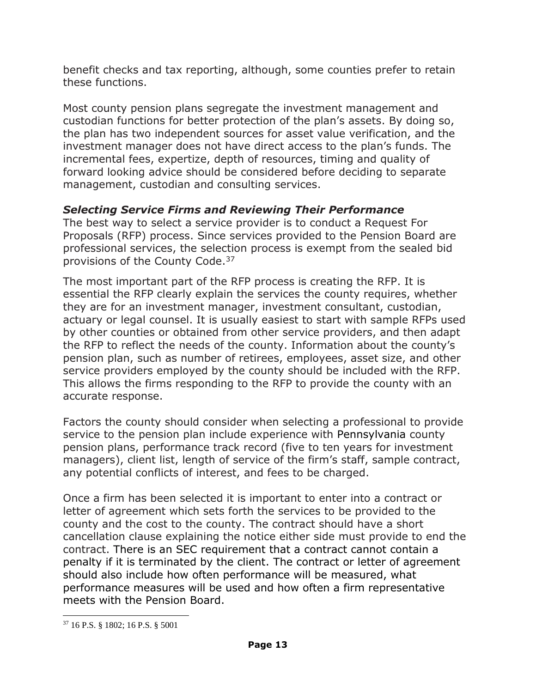benefit checks and tax reporting, although, some counties prefer to retain these functions.

Most county pension plans segregate the investment management and custodian functions for better protection of the plan's assets. By doing so, the plan has two independent sources for asset value verification, and the investment manager does not have direct access to the plan's funds. The incremental fees, expertize, depth of resources, timing and quality of forward looking advice should be considered before deciding to separate management, custodian and consulting services.

# *Selecting Service Firms and Reviewing Their Performance*

The best way to select a service provider is to conduct a Request For Proposals (RFP) process. Since services provided to the Pension Board are professional services, the selection process is exempt from the sealed bid provisions of the County Code.<sup>37</sup>

The most important part of the RFP process is creating the RFP. It is essential the RFP clearly explain the services the county requires, whether they are for an investment manager, investment consultant, custodian, actuary or legal counsel. It is usually easiest to start with sample RFPs used by other counties or obtained from other service providers, and then adapt the RFP to reflect the needs of the county. Information about the county's pension plan, such as number of retirees, employees, asset size, and other service providers employed by the county should be included with the RFP. This allows the firms responding to the RFP to provide the county with an accurate response.

Factors the county should consider when selecting a professional to provide service to the pension plan include experience with Pennsylvania county pension plans, performance track record (five to ten years for investment managers), client list, length of service of the firm's staff, sample contract, any potential conflicts of interest, and fees to be charged.

Once a firm has been selected it is important to enter into a contract or letter of agreement which sets forth the services to be provided to the county and the cost to the county. The contract should have a short cancellation clause explaining the notice either side must provide to end the contract. There is an SEC requirement that a contract cannot contain a penalty if it is terminated by the client. The contract or letter of agreement should also include how often performance will be measured, what performance measures will be used and how often a firm representative meets with the Pension Board.

l

<sup>37</sup> 16 P.S. § 1802; 16 P.S. § 5001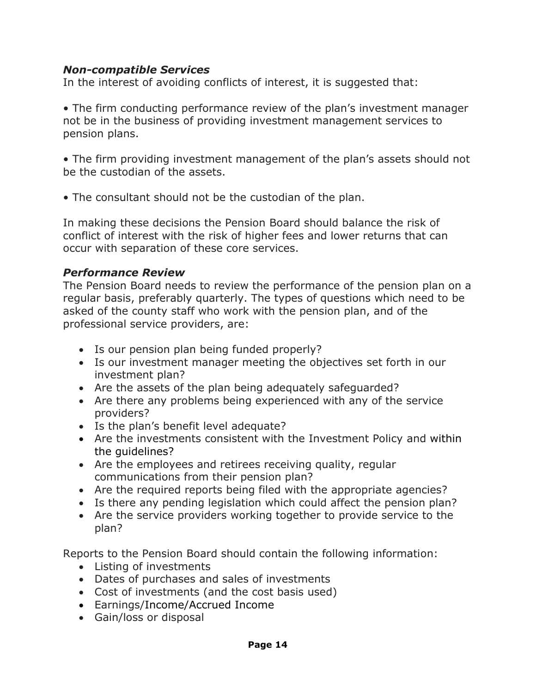#### *Non-compatible Services*

In the interest of avoiding conflicts of interest, it is suggested that:

• The firm conducting performance review of the plan's investment manager not be in the business of providing investment management services to pension plans.

• The firm providing investment management of the plan's assets should not be the custodian of the assets.

• The consultant should not be the custodian of the plan.

In making these decisions the Pension Board should balance the risk of conflict of interest with the risk of higher fees and lower returns that can occur with separation of these core services.

#### *Performance Review*

The Pension Board needs to review the performance of the pension plan on a regular basis, preferably quarterly. The types of questions which need to be asked of the county staff who work with the pension plan, and of the professional service providers, are:

- Is our pension plan being funded properly?
- Is our investment manager meeting the objectives set forth in our investment plan?
- Are the assets of the plan being adequately safeguarded?
- Are there any problems being experienced with any of the service providers?
- Is the plan's benefit level adequate?
- Are the investments consistent with the Investment Policy and within the guidelines?
- Are the employees and retirees receiving quality, regular communications from their pension plan?
- Are the required reports being filed with the appropriate agencies?
- Is there any pending legislation which could affect the pension plan?
- Are the service providers working together to provide service to the plan?

Reports to the Pension Board should contain the following information:

- Listing of investments
- Dates of purchases and sales of investments
- Cost of investments (and the cost basis used)
- Earnings/Income/Accrued Income
- Gain/loss or disposal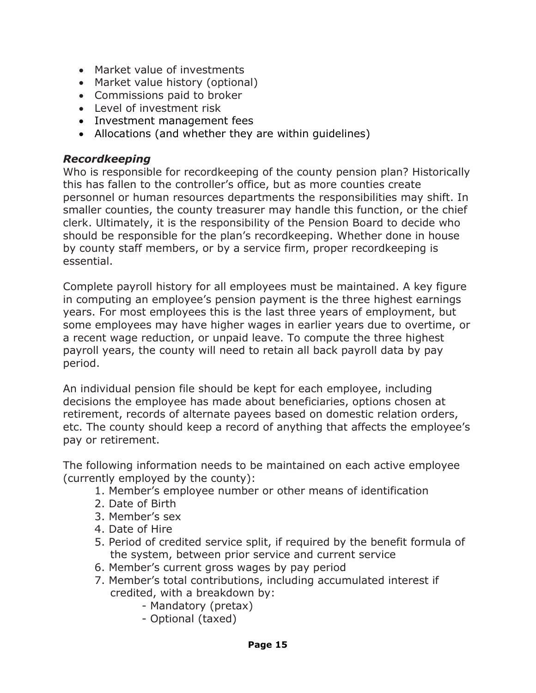- Market value of investments
- Market value history (optional)
- Commissions paid to broker
- Level of investment risk
- Investment management fees
- Allocations (and whether they are within guidelines)

#### *Recordkeeping*

Who is responsible for recordkeeping of the county pension plan? Historically this has fallen to the controller's office, but as more counties create personnel or human resources departments the responsibilities may shift. In smaller counties, the county treasurer may handle this function, or the chief clerk. Ultimately, it is the responsibility of the Pension Board to decide who should be responsible for the plan's recordkeeping. Whether done in house by county staff members, or by a service firm, proper recordkeeping is essential.

Complete payroll history for all employees must be maintained. A key figure in computing an employee's pension payment is the three highest earnings years. For most employees this is the last three years of employment, but some employees may have higher wages in earlier years due to overtime, or a recent wage reduction, or unpaid leave. To compute the three highest payroll years, the county will need to retain all back payroll data by pay period.

An individual pension file should be kept for each employee, including decisions the employee has made about beneficiaries, options chosen at retirement, records of alternate payees based on domestic relation orders, etc. The county should keep a record of anything that affects the employee's pay or retirement.

The following information needs to be maintained on each active employee (currently employed by the county):

- 1. Member's employee number or other means of identification
- 2. Date of Birth
- 3. Member's sex
- 4. Date of Hire
- 5. Period of credited service split, if required by the benefit formula of the system, between prior service and current service
- 6. Member's current gross wages by pay period
- 7. Member's total contributions, including accumulated interest if credited, with a breakdown by:
	- Mandatory (pretax)
	- Optional (taxed)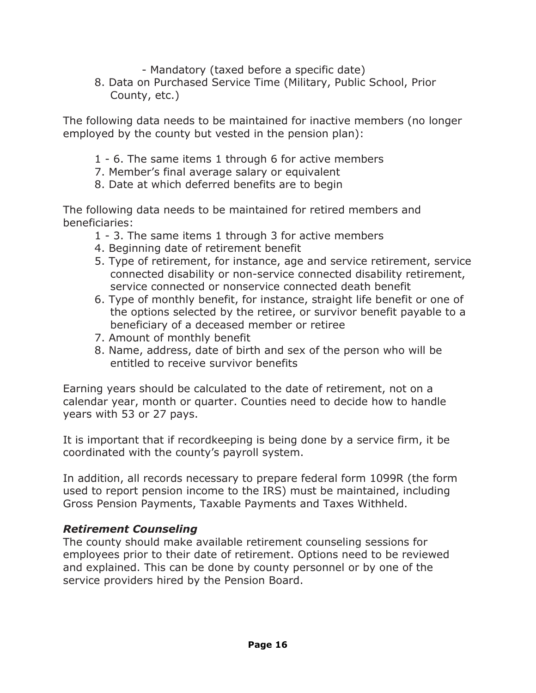- Mandatory (taxed before a specific date)

8. Data on Purchased Service Time (Military, Public School, Prior County, etc.)

The following data needs to be maintained for inactive members (no longer employed by the county but vested in the pension plan):

- 1 6. The same items 1 through 6 for active members
- 7. Member's final average salary or equivalent
- 8. Date at which deferred benefits are to begin

The following data needs to be maintained for retired members and beneficiaries:

- 1 3. The same items 1 through 3 for active members
- 4. Beginning date of retirement benefit
- 5. Type of retirement, for instance, age and service retirement, service connected disability or non-service connected disability retirement, service connected or nonservice connected death benefit
- 6. Type of monthly benefit, for instance, straight life benefit or one of the options selected by the retiree, or survivor benefit payable to a beneficiary of a deceased member or retiree
- 7. Amount of monthly benefit
- 8. Name, address, date of birth and sex of the person who will be entitled to receive survivor benefits

Earning years should be calculated to the date of retirement, not on a calendar year, month or quarter. Counties need to decide how to handle years with 53 or 27 pays.

It is important that if recordkeeping is being done by a service firm, it be coordinated with the county's payroll system.

In addition, all records necessary to prepare federal form 1099R (the form used to report pension income to the IRS) must be maintained, including Gross Pension Payments, Taxable Payments and Taxes Withheld.

# *Retirement Counseling*

The county should make available retirement counseling sessions for employees prior to their date of retirement. Options need to be reviewed and explained. This can be done by county personnel or by one of the service providers hired by the Pension Board.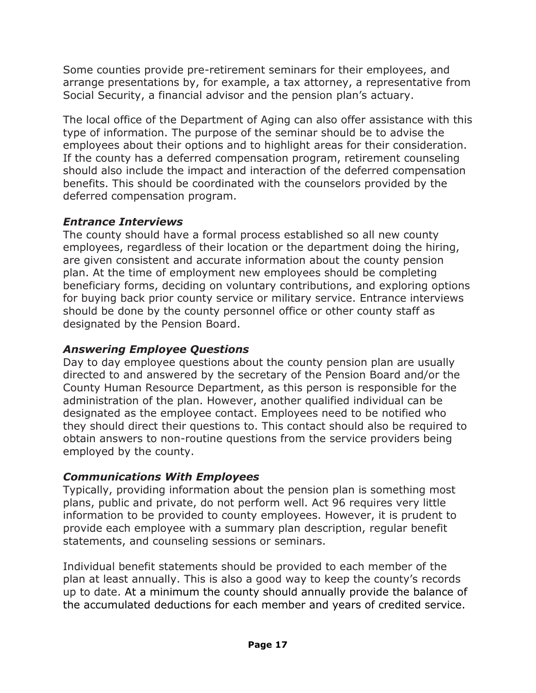Some counties provide pre-retirement seminars for their employees, and arrange presentations by, for example, a tax attorney, a representative from Social Security, a financial advisor and the pension plan's actuary.

The local office of the Department of Aging can also offer assistance with this type of information. The purpose of the seminar should be to advise the employees about their options and to highlight areas for their consideration. If the county has a deferred compensation program, retirement counseling should also include the impact and interaction of the deferred compensation benefits. This should be coordinated with the counselors provided by the deferred compensation program.

#### *Entrance Interviews*

The county should have a formal process established so all new county employees, regardless of their location or the department doing the hiring, are given consistent and accurate information about the county pension plan. At the time of employment new employees should be completing beneficiary forms, deciding on voluntary contributions, and exploring options for buying back prior county service or military service. Entrance interviews should be done by the county personnel office or other county staff as designated by the Pension Board.

# *Answering Employee Questions*

Day to day employee questions about the county pension plan are usually directed to and answered by the secretary of the Pension Board and/or the County Human Resource Department, as this person is responsible for the administration of the plan. However, another qualified individual can be designated as the employee contact. Employees need to be notified who they should direct their questions to. This contact should also be required to obtain answers to non-routine questions from the service providers being employed by the county.

# *Communications With Employees*

Typically, providing information about the pension plan is something most plans, public and private, do not perform well. Act 96 requires very little information to be provided to county employees. However, it is prudent to provide each employee with a summary plan description, regular benefit statements, and counseling sessions or seminars.

Individual benefit statements should be provided to each member of the plan at least annually. This is also a good way to keep the county's records up to date. At a minimum the county should annually provide the balance of the accumulated deductions for each member and years of credited service.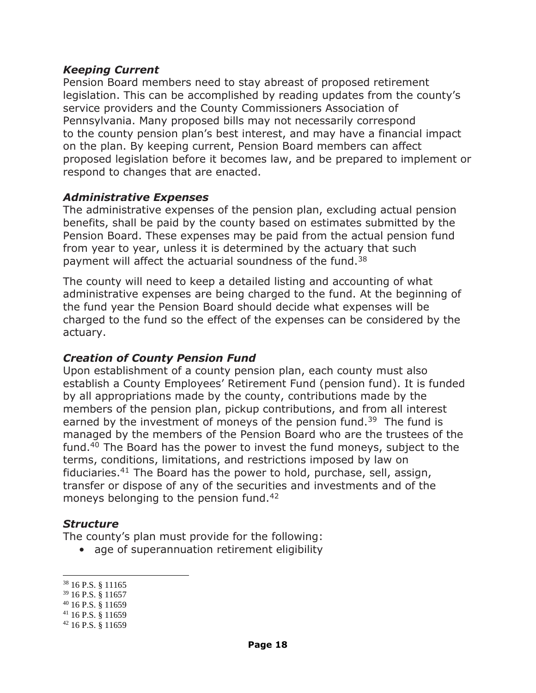#### *Keeping Current*

Pension Board members need to stay abreast of proposed retirement legislation. This can be accomplished by reading updates from the county's service providers and the County Commissioners Association of Pennsylvania. Many proposed bills may not necessarily correspond to the county pension plan's best interest, and may have a financial impact on the plan. By keeping current, Pension Board members can affect proposed legislation before it becomes law, and be prepared to implement or respond to changes that are enacted.

#### *Administrative Expenses*

The administrative expenses of the pension plan, excluding actual pension benefits, shall be paid by the county based on estimates submitted by the Pension Board. These expenses may be paid from the actual pension fund from year to year, unless it is determined by the actuary that such payment will affect the actuarial soundness of the fund.<sup>38</sup>

The county will need to keep a detailed listing and accounting of what administrative expenses are being charged to the fund. At the beginning of the fund year the Pension Board should decide what expenses will be charged to the fund so the effect of the expenses can be considered by the actuary.

#### *Creation of County Pension Fund*

Upon establishment of a county pension plan, each county must also establish a County Employees' Retirement Fund (pension fund). It is funded by all appropriations made by the county, contributions made by the members of the pension plan, pickup contributions, and from all interest earned by the investment of moneys of the pension fund.<sup>39</sup> The fund is managed by the members of the Pension Board who are the trustees of the fund.<sup>40</sup> The Board has the power to invest the fund moneys, subject to the terms, conditions, limitations, and restrictions imposed by law on fiduciaries.<sup>41</sup> The Board has the power to hold, purchase, sell, assign, transfer or dispose of any of the securities and investments and of the moneys belonging to the pension fund.<sup>42</sup>

#### *Structure*

The county's plan must provide for the following:

• age of superannuation retirement eligibility

 $\overline{a}$ 

<sup>41</sup> 16 P.S. § 11659

<sup>38</sup> 16 P.S. § 11165

<sup>39</sup> 16 P.S. § 11657

<sup>40</sup> 16 P.S. § 11659

<sup>42</sup> 16 P.S. § 11659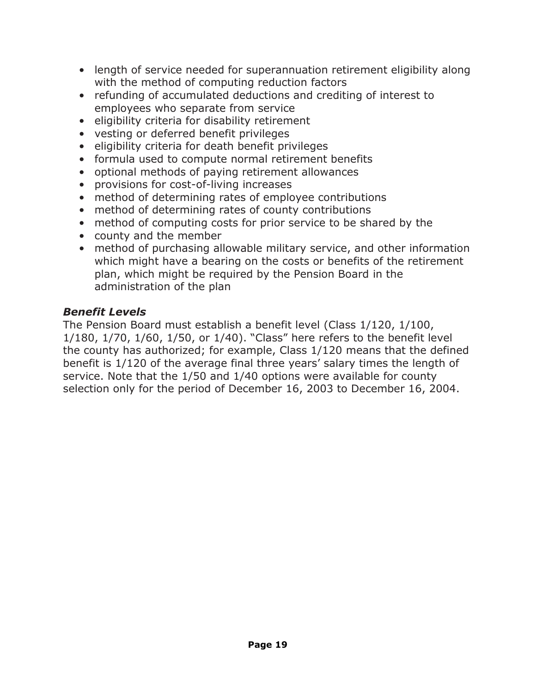- length of service needed for superannuation retirement eligibility along with the method of computing reduction factors
- refunding of accumulated deductions and crediting of interest to employees who separate from service
- eligibility criteria for disability retirement
- vesting or deferred benefit privileges
- eligibility criteria for death benefit privileges
- formula used to compute normal retirement benefits
- optional methods of paying retirement allowances
- provisions for cost-of-living increases
- method of determining rates of employee contributions
- method of determining rates of county contributions
- method of computing costs for prior service to be shared by the
- county and the member
- method of purchasing allowable military service, and other information which might have a bearing on the costs or benefits of the retirement plan, which might be required by the Pension Board in the administration of the plan

#### *Benefit Levels*

The Pension Board must establish a benefit level (Class 1/120, 1/100, 1/180, 1/70, 1/60, 1/50, or 1/40). "Class" here refers to the benefit level the county has authorized; for example, Class 1/120 means that the defined benefit is 1/120 of the average final three years' salary times the length of service. Note that the 1/50 and 1/40 options were available for county selection only for the period of December 16, 2003 to December 16, 2004.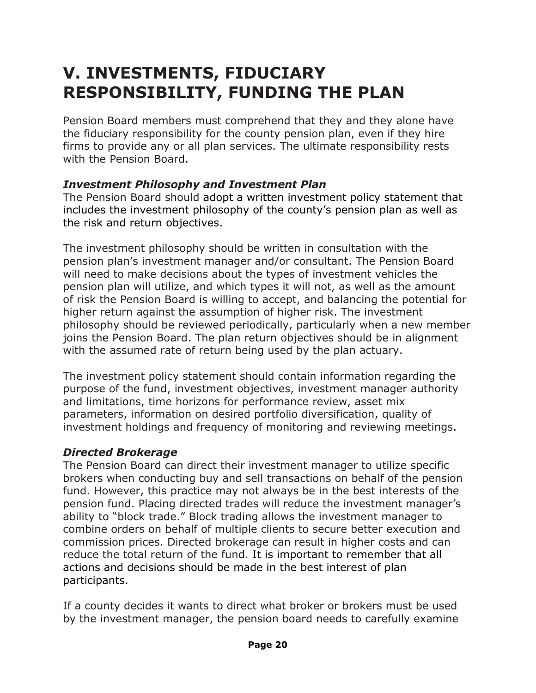# **V. INVESTMENTS, FIDUCIARY RESPONSIBILITY, FUNDING THE PLAN**

Pension Board members must comprehend that they and they alone have the fiduciary responsibility for the county pension plan, even if they hire firms to provide any or all plan services. The ultimate responsibility rests with the Pension Board.

#### *Investment Philosophy and Investment Plan*

The Pension Board should adopt a written investment policy statement that includes the investment philosophy of the county's pension plan as well as the risk and return objectives.

The investment philosophy should be written in consultation with the pension plan's investment manager and/or consultant. The Pension Board will need to make decisions about the types of investment vehicles the pension plan will utilize, and which types it will not, as well as the amount of risk the Pension Board is willing to accept, and balancing the potential for higher return against the assumption of higher risk. The investment philosophy should be reviewed periodically, particularly when a new member joins the Pension Board. The plan return objectives should be in alignment with the assumed rate of return being used by the plan actuary.

The investment policy statement should contain information regarding the purpose of the fund, investment objectives, investment manager authority and limitations, time horizons for performance review, asset mix parameters, information on desired portfolio diversification, quality of investment holdings and frequency of monitoring and reviewing meetings.

# *Directed Brokerage*

The Pension Board can direct their investment manager to utilize specific brokers when conducting buy and sell transactions on behalf of the pension fund. However, this practice may not always be in the best interests of the pension fund. Placing directed trades will reduce the investment manager's ability to "block trade." Block trading allows the investment manager to combine orders on behalf of multiple clients to secure better execution and commission prices. Directed brokerage can result in higher costs and can reduce the total return of the fund. It is important to remember that all actions and decisions should be made in the best interest of plan participants.

If a county decides it wants to direct what broker or brokers must be used by the investment manager, the pension board needs to carefully examine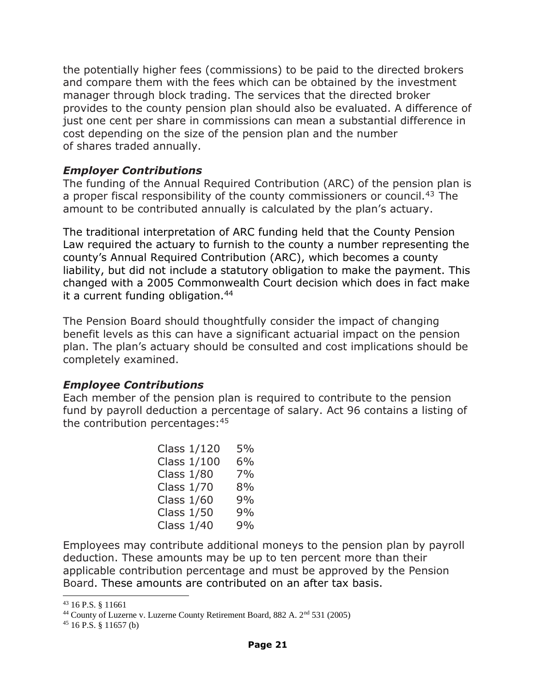the potentially higher fees (commissions) to be paid to the directed brokers and compare them with the fees which can be obtained by the investment manager through block trading. The services that the directed broker provides to the county pension plan should also be evaluated. A difference of just one cent per share in commissions can mean a substantial difference in cost depending on the size of the pension plan and the number of shares traded annually.

#### *Employer Contributions*

The funding of the Annual Required Contribution (ARC) of the pension plan is a proper fiscal responsibility of the county commissioners or council.<sup>43</sup> The amount to be contributed annually is calculated by the plan's actuary.

The traditional interpretation of ARC funding held that the County Pension Law required the actuary to furnish to the county a number representing the county's Annual Required Contribution (ARC), which becomes a county liability, but did not include a statutory obligation to make the payment. This changed with a 2005 Commonwealth Court decision which does in fact make it a current funding obligation.<sup>44</sup>

The Pension Board should thoughtfully consider the impact of changing benefit levels as this can have a significant actuarial impact on the pension plan. The plan's actuary should be consulted and cost implications should be completely examined.

#### *Employee Contributions*

Each member of the pension plan is required to contribute to the pension fund by payroll deduction a percentage of salary. Act 96 contains a listing of the contribution percentages: 45

|                   | Class 1/120 | 5% |
|-------------------|-------------|----|
|                   | Class 1/100 | 6% |
| <b>Class 1/80</b> |             | 7% |
| <b>Class 1/70</b> |             | 8% |
| <b>Class 1/60</b> |             | 9% |
| <b>Class 1/50</b> |             | 9% |
| <b>Class 1/40</b> |             | 9% |

Employees may contribute additional moneys to the pension plan by payroll deduction. These amounts may be up to ten percent more than their applicable contribution percentage and must be approved by the Pension Board. These amounts are contributed on an after tax basis.

l

<sup>43</sup> 16 P.S. § 11661

<sup>&</sup>lt;sup>44</sup> County of Luzerne v. Luzerne County Retirement Board, 882 A.  $2<sup>nd</sup> 531 (2005)$ 

 $45$  16 P.S. § 11657 (b)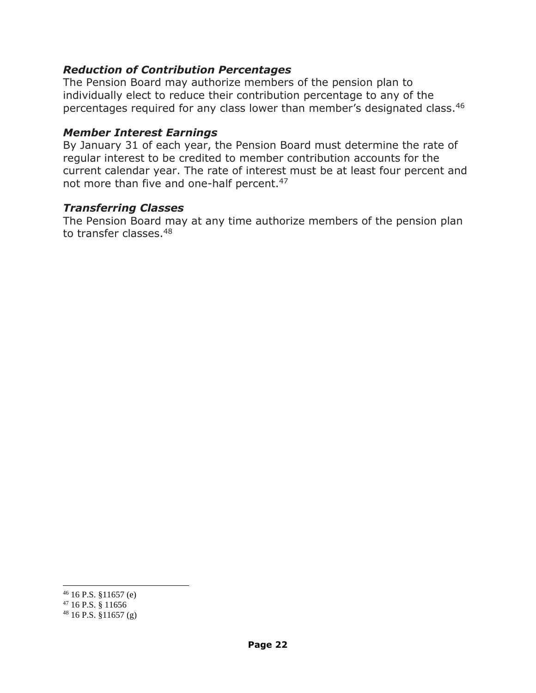#### *Reduction of Contribution Percentages*

The Pension Board may authorize members of the pension plan to individually elect to reduce their contribution percentage to any of the percentages required for any class lower than member's designated class. 46

#### *Member Interest Earnings*

By January 31 of each year, the Pension Board must determine the rate of regular interest to be credited to member contribution accounts for the current calendar year. The rate of interest must be at least four percent and not more than five and one-half percent.<sup>47</sup>

#### *Transferring Classes*

The Pension Board may at any time authorize members of the pension plan to transfer classes.<sup>48</sup>

 $\overline{a}$ 

 $46$  16 P.S. §11657 (e)

<sup>47</sup> 16 P.S. § 11656

 $48$  16 P.S. §11657 (g)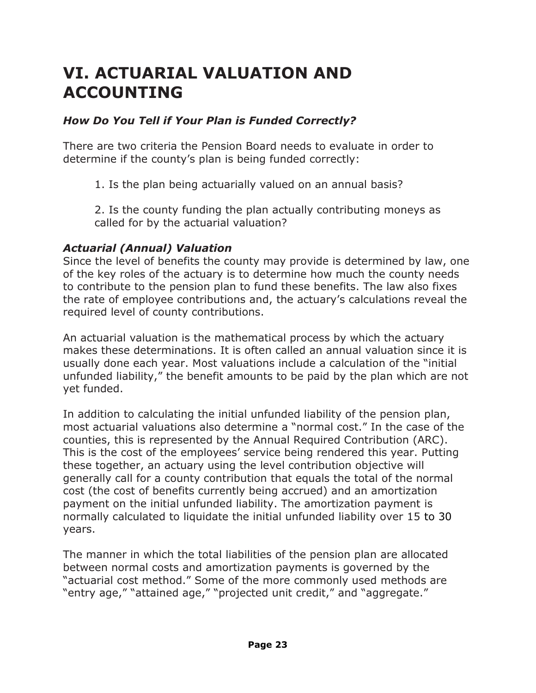# **VI. ACTUARIAL VALUATION AND ACCOUNTING**

#### *How Do You Tell if Your Plan is Funded Correctly?*

There are two criteria the Pension Board needs to evaluate in order to determine if the county's plan is being funded correctly:

1. Is the plan being actuarially valued on an annual basis?

2. Is the county funding the plan actually contributing moneys as called for by the actuarial valuation?

#### *Actuarial (Annual) Valuation*

Since the level of benefits the county may provide is determined by law, one of the key roles of the actuary is to determine how much the county needs to contribute to the pension plan to fund these benefits. The law also fixes the rate of employee contributions and, the actuary's calculations reveal the required level of county contributions.

An actuarial valuation is the mathematical process by which the actuary makes these determinations. It is often called an annual valuation since it is usually done each year. Most valuations include a calculation of the "initial unfunded liability," the benefit amounts to be paid by the plan which are not yet funded.

In addition to calculating the initial unfunded liability of the pension plan, most actuarial valuations also determine a "normal cost." In the case of the counties, this is represented by the Annual Required Contribution (ARC). This is the cost of the employees' service being rendered this year. Putting these together, an actuary using the level contribution objective will generally call for a county contribution that equals the total of the normal cost (the cost of benefits currently being accrued) and an amortization payment on the initial unfunded liability. The amortization payment is normally calculated to liquidate the initial unfunded liability over 15 to 30 years.

The manner in which the total liabilities of the pension plan are allocated between normal costs and amortization payments is governed by the "actuarial cost method." Some of the more commonly used methods are "entry age," "attained age," "projected unit credit," and "aggregate."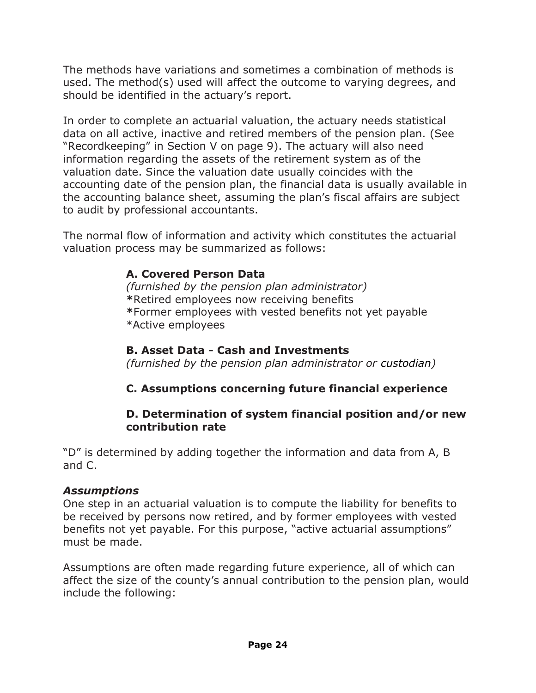The methods have variations and sometimes a combination of methods is used. The method(s) used will affect the outcome to varying degrees, and should be identified in the actuary's report.

In order to complete an actuarial valuation, the actuary needs statistical data on all active, inactive and retired members of the pension plan. (See "Recordkeeping" in Section V on page 9). The actuary will also need information regarding the assets of the retirement system as of the valuation date. Since the valuation date usually coincides with the accounting date of the pension plan, the financial data is usually available in the accounting balance sheet, assuming the plan's fiscal affairs are subject to audit by professional accountants.

The normal flow of information and activity which constitutes the actuarial valuation process may be summarized as follows:

#### **A. Covered Person Data**

*(furnished by the pension plan administrator)* **\***Retired employees now receiving benefits **\***Former employees with vested benefits not yet payable \*Active employees

#### **B. Asset Data - Cash and Investments**

*(furnished by the pension plan administrator or custodian)*

# **C. Assumptions concerning future financial experience**

#### **D. Determination of system financial position and/or new contribution rate**

"D" is determined by adding together the information and data from A, B and C.

#### *Assumptions*

One step in an actuarial valuation is to compute the liability for benefits to be received by persons now retired, and by former employees with vested benefits not yet payable. For this purpose, "active actuarial assumptions" must be made.

Assumptions are often made regarding future experience, all of which can affect the size of the county's annual contribution to the pension plan, would include the following: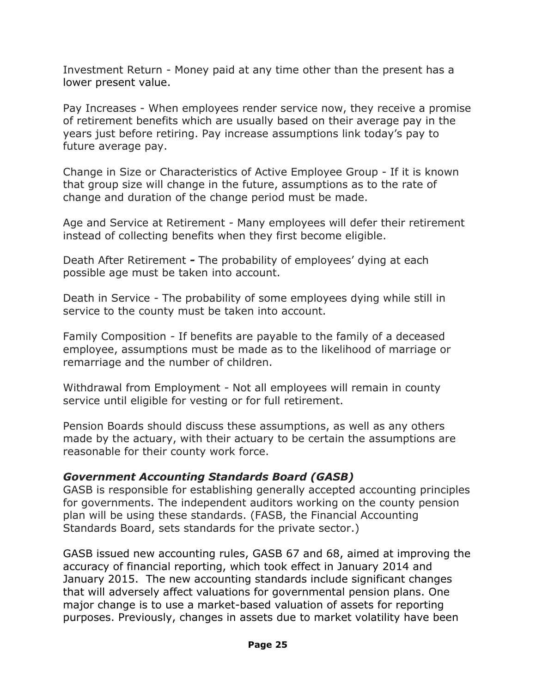Investment Return - Money paid at any time other than the present has a lower present value.

Pay Increases - When employees render service now, they receive a promise of retirement benefits which are usually based on their average pay in the years just before retiring. Pay increase assumptions link today's pay to future average pay.

Change in Size or Characteristics of Active Employee Group - If it is known that group size will change in the future, assumptions as to the rate of change and duration of the change period must be made.

Age and Service at Retirement *-* Many employees will defer their retirement instead of collecting benefits when they first become eligible.

Death After Retirement *-* The probability of employees' dying at each possible age must be taken into account.

Death in Service *-* The probability of some employees dying while still in service to the county must be taken into account.

Family Composition *-* If benefits are payable to the family of a deceased employee, assumptions must be made as to the likelihood of marriage or remarriage and the number of children.

Withdrawal from Employment *-* Not all employees will remain in county service until eligible for vesting or for full retirement.

Pension Boards should discuss these assumptions, as well as any others made by the actuary, with their actuary to be certain the assumptions are reasonable for their county work force.

#### *Government Accounting Standards Board (GASB)*

GASB is responsible for establishing generally accepted accounting principles for governments. The independent auditors working on the county pension plan will be using these standards. (FASB, the Financial Accounting Standards Board, sets standards for the private sector.)

GASB issued new accounting rules, GASB 67 and 68, aimed at improving the accuracy of financial reporting, which took effect in January 2014 and January 2015. The new accounting standards include significant changes that will adversely affect valuations for governmental pension plans. One major change is to use a market-based valuation of assets for reporting purposes. Previously, changes in assets due to market volatility have been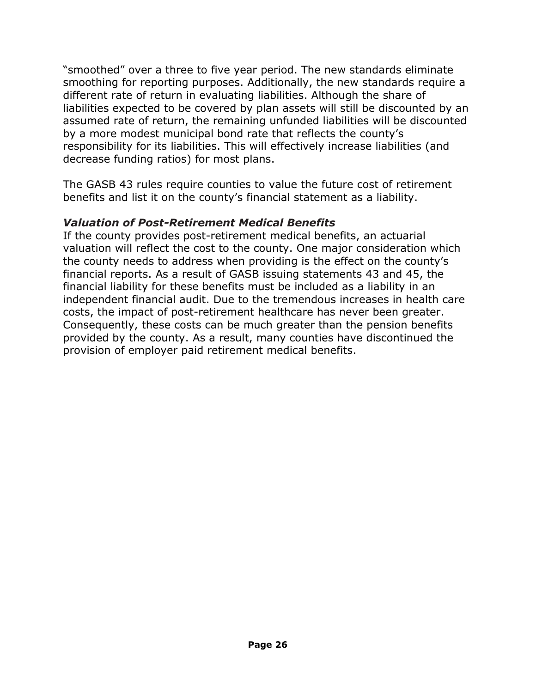"smoothed" over a three to five year period. The new standards eliminate smoothing for reporting purposes. Additionally, the new standards require a different rate of return in evaluating liabilities. Although the share of liabilities expected to be covered by plan assets will still be discounted by an assumed rate of return, the remaining unfunded liabilities will be discounted by a more modest municipal bond rate that reflects the county's responsibility for its liabilities. This will effectively increase liabilities (and decrease funding ratios) for most plans.

The GASB 43 rules require counties to value the future cost of retirement benefits and list it on the county's financial statement as a liability.

#### *Valuation of Post-Retirement Medical Benefits*

If the county provides post-retirement medical benefits, an actuarial valuation will reflect the cost to the county. One major consideration which the county needs to address when providing is the effect on the county's financial reports. As a result of GASB issuing statements 43 and 45, the financial liability for these benefits must be included as a liability in an independent financial audit. Due to the tremendous increases in health care costs, the impact of post-retirement healthcare has never been greater. Consequently, these costs can be much greater than the pension benefits provided by the county. As a result, many counties have discontinued the provision of employer paid retirement medical benefits.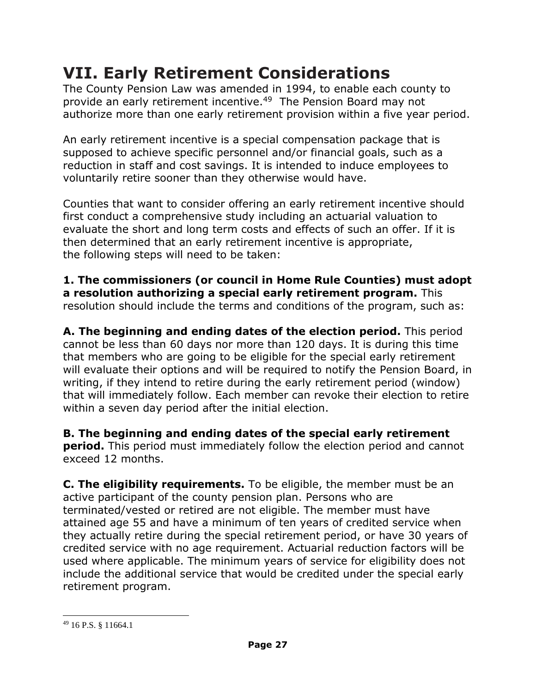The County Pension Law was amended in 1994, to enable each county to provide an early retirement incentive. <sup>49</sup> The Pension Board may not authorize more than one early retirement provision within a five year period.

An early retirement incentive is a special compensation package that is supposed to achieve specific personnel and/or financial goals, such as a reduction in staff and cost savings. It is intended to induce employees to voluntarily retire sooner than they otherwise would have.

Counties that want to consider offering an early retirement incentive should first conduct a comprehensive study including an actuarial valuation to evaluate the short and long term costs and effects of such an offer. If it is then determined that an early retirement incentive is appropriate, the following steps will need to be taken:

**1. The commissioners (or council in Home Rule Counties) must adopt a resolution authorizing a special early retirement program.** This resolution should include the terms and conditions of the program, such as:

**A. The beginning and ending dates of the election period.** This period cannot be less than 60 days nor more than 120 days. It is during this time that members who are going to be eligible for the special early retirement will evaluate their options and will be required to notify the Pension Board, in writing, if they intend to retire during the early retirement period (window) that will immediately follow. Each member can revoke their election to retire within a seven day period after the initial election.

**B. The beginning and ending dates of the special early retirement period.** This period must immediately follow the election period and cannot exceed 12 months.

**C. The eligibility requirements.** To be eligible, the member must be an active participant of the county pension plan. Persons who are terminated/vested or retired are not eligible. The member must have attained age 55 and have a minimum of ten years of credited service when they actually retire during the special retirement period, or have 30 years of credited service with no age requirement. Actuarial reduction factors will be used where applicable. The minimum years of service for eligibility does not include the additional service that would be credited under the special early retirement program.

l

<sup>49</sup> 16 P.S. § 11664.1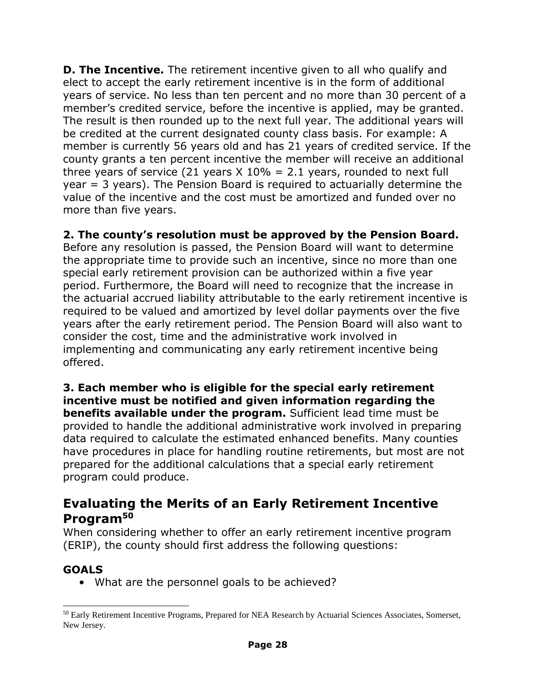**D. The Incentive.** The retirement incentive given to all who qualify and elect to accept the early retirement incentive is in the form of additional years of service. No less than ten percent and no more than 30 percent of a member's credited service, before the incentive is applied, may be granted. The result is then rounded up to the next full year. The additional years will be credited at the current designated county class basis. For example: A member is currently 56 years old and has 21 years of credited service. If the county grants a ten percent incentive the member will receive an additional three years of service (21 years  $X$  10% = 2.1 years, rounded to next full year = 3 years). The Pension Board is required to actuarially determine the value of the incentive and the cost must be amortized and funded over no more than five years.

**2. The county's resolution must be approved by the Pension Board.** 

Before any resolution is passed, the Pension Board will want to determine the appropriate time to provide such an incentive, since no more than one special early retirement provision can be authorized within a five year period. Furthermore, the Board will need to recognize that the increase in the actuarial accrued liability attributable to the early retirement incentive is required to be valued and amortized by level dollar payments over the five years after the early retirement period. The Pension Board will also want to consider the cost, time and the administrative work involved in implementing and communicating any early retirement incentive being offered.

**3. Each member who is eligible for the special early retirement incentive must be notified and given information regarding the benefits available under the program.** Sufficient lead time must be provided to handle the additional administrative work involved in preparing data required to calculate the estimated enhanced benefits. Many counties have procedures in place for handling routine retirements, but most are not prepared for the additional calculations that a special early retirement program could produce.

# **Evaluating the Merits of an Early Retirement Incentive Program<sup>50</sup>**

When considering whether to offer an early retirement incentive program (ERIP), the county should first address the following questions:

# **GOALS**

 $\overline{a}$ 

• What are the personnel goals to be achieved?

<sup>50</sup> Early Retirement Incentive Programs, Prepared for NEA Research by Actuarial Sciences Associates, Somerset, New Jersey.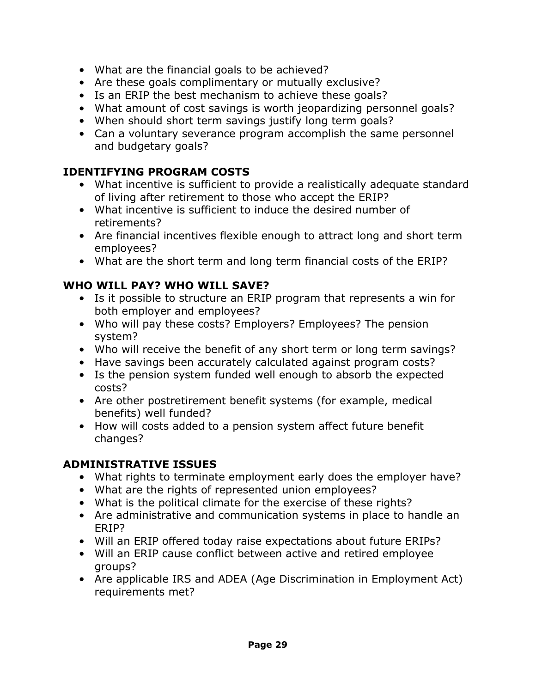- What are the financial goals to be achieved?
- Are these goals complimentary or mutually exclusive?
- Is an ERIP the best mechanism to achieve these goals?
- What amount of cost savings is worth jeopardizing personnel goals?
- When should short term savings justify long term goals?
- Can a voluntary severance program accomplish the same personnel and budgetary goals?

# **IDENTIFYING PROGRAM COSTS**

- What incentive is sufficient to provide a realistically adequate standard of living after retirement to those who accept the ERIP?
- What incentive is sufficient to induce the desired number of retirements?
- Are financial incentives flexible enough to attract long and short term employees?
- What are the short term and long term financial costs of the ERIP?

# **WHO WILL PAY? WHO WILL SAVE?**

- Is it possible to structure an ERIP program that represents a win for both employer and employees?
- Who will pay these costs? Employers? Employees? The pension system?
- Who will receive the benefit of any short term or long term savings?
- Have savings been accurately calculated against program costs?
- Is the pension system funded well enough to absorb the expected costs?
- Are other postretirement benefit systems (for example, medical benefits) well funded?
- How will costs added to a pension system affect future benefit changes?

# **ADMINISTRATIVE ISSUES**

- What rights to terminate employment early does the employer have?
- What are the rights of represented union employees?
- What is the political climate for the exercise of these rights?
- Are administrative and communication systems in place to handle an ERIP?
- Will an ERIP offered today raise expectations about future ERIPs?
- Will an ERIP cause conflict between active and retired employee groups?
- Are applicable IRS and ADEA (Age Discrimination in Employment Act) requirements met?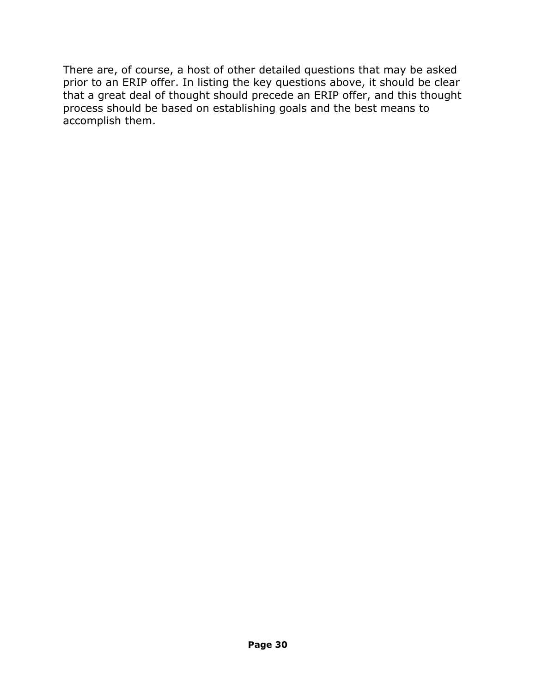There are, of course, a host of other detailed questions that may be asked prior to an ERIP offer. In listing the key questions above, it should be clear that a great deal of thought should precede an ERIP offer, and this thought process should be based on establishing goals and the best means to accomplish them.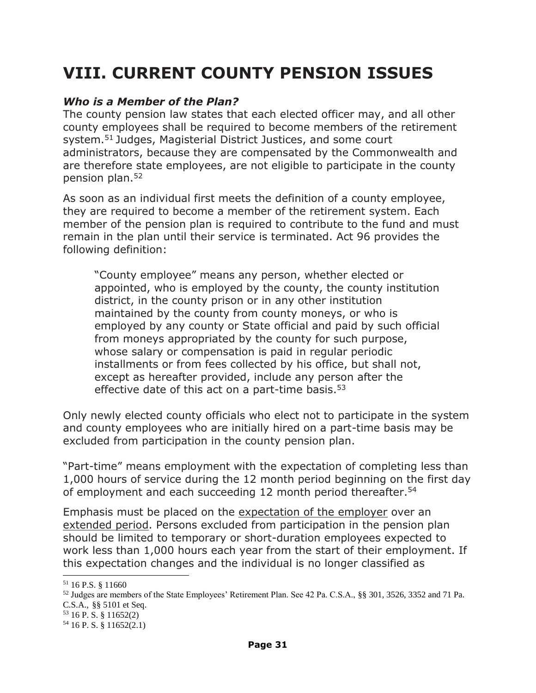# **VIII. CURRENT COUNTY PENSION ISSUES**

#### *Who is a Member of the Plan?*

The county pension law states that each elected officer may, and all other county employees shall be required to become members of the retirement system.<sup>51</sup> Judges, Magisterial District Justices, and some court administrators, because they are compensated by the Commonwealth and are therefore state employees, are not eligible to participate in the county pension plan.<sup>52</sup>

As soon as an individual first meets the definition of a county employee, they are required to become a member of the retirement system. Each member of the pension plan is required to contribute to the fund and must remain in the plan until their service is terminated. Act 96 provides the following definition:

"County employee" means any person, whether elected or appointed, who is employed by the county, the county institution district, in the county prison or in any other institution maintained by the county from county moneys, or who is employed by any county or State official and paid by such official from moneys appropriated by the county for such purpose, whose salary or compensation is paid in regular periodic installments or from fees collected by his office, but shall not, except as hereafter provided, include any person after the effective date of this act on a part-time basis. $53$ 

Only newly elected county officials who elect not to participate in the system and county employees who are initially hired on a part-time basis may be excluded from participation in the county pension plan.

"Part-time" means employment with the expectation of completing less than 1,000 hours of service during the 12 month period beginning on the first day of employment and each succeeding 12 month period thereafter.<sup>54</sup>

Emphasis must be placed on the expectation of the employer over an extended period. Persons excluded from participation in the pension plan should be limited to temporary or short-duration employees expected to work less than 1,000 hours each year from the start of their employment. If this expectation changes and the individual is no longer classified as

 $\overline{a}$ 

<sup>53</sup> 16 P. S. § 11652(2)

 $51$  16 P.S.  $8$  11660

<sup>52</sup> Judges are members of the State Employees' Retirement Plan. See 42 Pa. C.S.A., §§ 301, 3526, 3352 and 71 Pa. C.S.A., §§ 5101 et Seq.

 $54$  16 P. S. § 11652(2.1)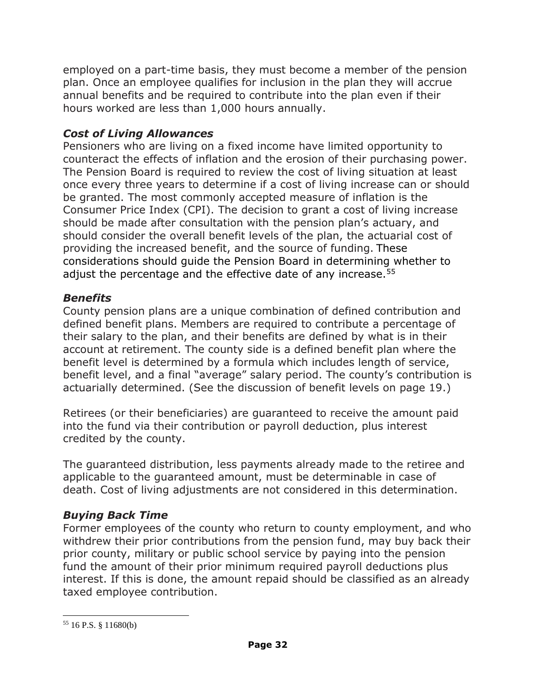employed on a part-time basis, they must become a member of the pension plan. Once an employee qualifies for inclusion in the plan they will accrue annual benefits and be required to contribute into the plan even if their hours worked are less than 1,000 hours annually.

# *Cost of Living Allowances*

Pensioners who are living on a fixed income have limited opportunity to counteract the effects of inflation and the erosion of their purchasing power. The Pension Board is required to review the cost of living situation at least once every three years to determine if a cost of living increase can or should be granted. The most commonly accepted measure of inflation is the Consumer Price Index (CPI). The decision to grant a cost of living increase should be made after consultation with the pension plan's actuary, and should consider the overall benefit levels of the plan, the actuarial cost of providing the increased benefit, and the source of funding. These considerations should guide the Pension Board in determining whether to adjust the percentage and the effective date of any increase.<sup>55</sup>

# *Benefits*

County pension plans are a unique combination of defined contribution and defined benefit plans. Members are required to contribute a percentage of their salary to the plan, and their benefits are defined by what is in their account at retirement. The county side is a defined benefit plan where the benefit level is determined by a formula which includes length of service, benefit level, and a final "average" salary period. The county's contribution is actuarially determined. (See the discussion of benefit levels on page 19.)

Retirees (or their beneficiaries) are guaranteed to receive the amount paid into the fund via their contribution or payroll deduction, plus interest credited by the county.

The guaranteed distribution, less payments already made to the retiree and applicable to the guaranteed amount, must be determinable in case of death. Cost of living adjustments are not considered in this determination.

# *Buying Back Time*

Former employees of the county who return to county employment, and who withdrew their prior contributions from the pension fund, may buy back their prior county, military or public school service by paying into the pension fund the amount of their prior minimum required payroll deductions plus interest. If this is done, the amount repaid should be classified as an already taxed employee contribution.

l  $55$  16 P.S. § 11680(b)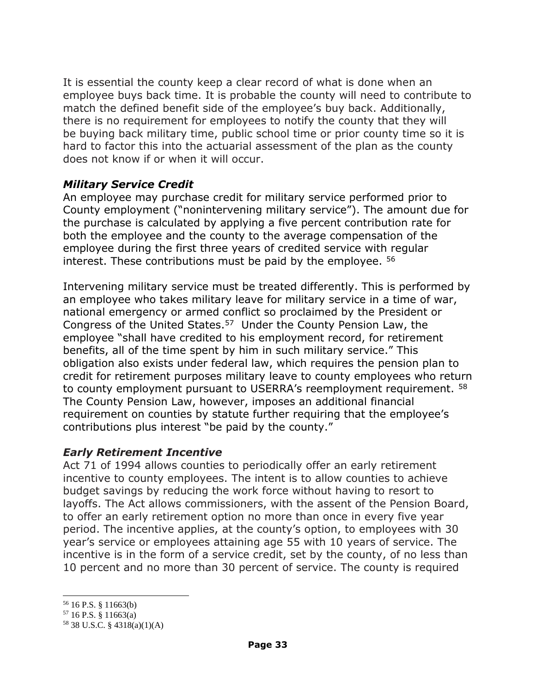It is essential the county keep a clear record of what is done when an employee buys back time. It is probable the county will need to contribute to match the defined benefit side of the employee's buy back. Additionally, there is no requirement for employees to notify the county that they will be buying back military time, public school time or prior county time so it is hard to factor this into the actuarial assessment of the plan as the county does not know if or when it will occur.

#### *Military Service Credit*

An employee may purchase credit for military service performed prior to County employment ("nonintervening military service"). The amount due for the purchase is calculated by applying a five percent contribution rate for both the employee and the county to the average compensation of the employee during the first three years of credited service with regular interest. These contributions must be paid by the employee. <sup>56</sup>

Intervening military service must be treated differently. This is performed by an employee who takes military leave for military service in a time of war, national emergency or armed conflict so proclaimed by the President or Congress of the United States.<sup>57</sup> Under the County Pension Law, the employee "shall have credited to his employment record, for retirement benefits, all of the time spent by him in such military service." This obligation also exists under federal law, which requires the pension plan to credit for retirement purposes military leave to county employees who return to county employment pursuant to USERRA's reemployment requirement. <sup>58</sup> The County Pension Law, however, imposes an additional financial requirement on counties by statute further requiring that the employee's contributions plus interest "be paid by the county."

#### *Early Retirement Incentive*

Act 71 of 1994 allows counties to periodically offer an early retirement incentive to county employees. The intent is to allow counties to achieve budget savings by reducing the work force without having to resort to layoffs. The Act allows commissioners, with the assent of the Pension Board, to offer an early retirement option no more than once in every five year period. The incentive applies, at the county's option, to employees with 30 year's service or employees attaining age 55 with 10 years of service. The incentive is in the form of a service credit, set by the county, of no less than 10 percent and no more than 30 percent of service. The county is required

l

<sup>56</sup> 16 P.S. § 11663(b)

<sup>57</sup> 16 P.S. § 11663(a)

<sup>58</sup> 38 U.S.C. § 4318(a)(1)(A)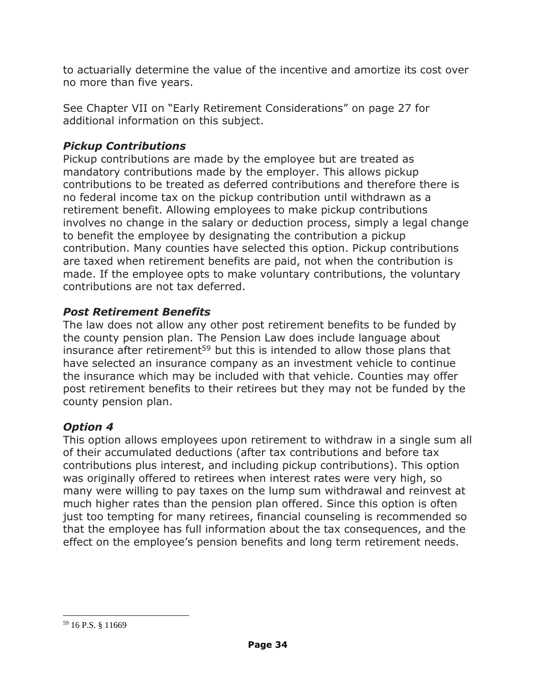to actuarially determine the value of the incentive and amortize its cost over no more than five years.

See Chapter VII on "Early Retirement Considerations" on page 27 for additional information on this subject.

# *Pickup Contributions*

Pickup contributions are made by the employee but are treated as mandatory contributions made by the employer. This allows pickup contributions to be treated as deferred contributions and therefore there is no federal income tax on the pickup contribution until withdrawn as a retirement benefit. Allowing employees to make pickup contributions involves no change in the salary or deduction process, simply a legal change to benefit the employee by designating the contribution a pickup contribution. Many counties have selected this option. Pickup contributions are taxed when retirement benefits are paid, not when the contribution is made. If the employee opts to make voluntary contributions, the voluntary contributions are not tax deferred.

# *Post Retirement Benefits*

The law does not allow any other post retirement benefits to be funded by the county pension plan. The Pension Law does include language about insurance after retirement<sup>59</sup> but this is intended to allow those plans that have selected an insurance company as an investment vehicle to continue the insurance which may be included with that vehicle. Counties may offer post retirement benefits to their retirees but they may not be funded by the county pension plan.

# *Option 4*

This option allows employees upon retirement to withdraw in a single sum all of their accumulated deductions (after tax contributions and before tax contributions plus interest, and including pickup contributions). This option was originally offered to retirees when interest rates were very high, so many were willing to pay taxes on the lump sum withdrawal and reinvest at much higher rates than the pension plan offered. Since this option is often just too tempting for many retirees, financial counseling is recommended so that the employee has full information about the tax consequences, and the effect on the employee's pension benefits and long term retirement needs.

l <sup>59</sup> 16 P.S. § 11669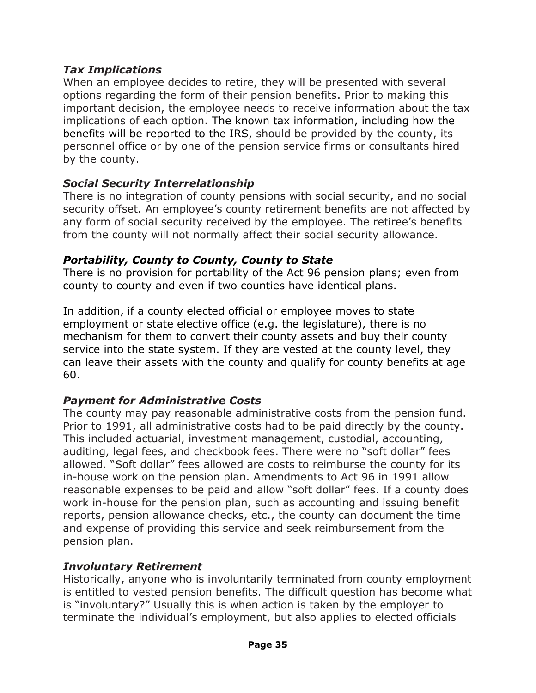#### *Tax Implications*

When an employee decides to retire, they will be presented with several options regarding the form of their pension benefits. Prior to making this important decision, the employee needs to receive information about the tax implications of each option. The known tax information, including how the benefits will be reported to the IRS, should be provided by the county, its personnel office or by one of the pension service firms or consultants hired by the county.

# *Social Security Interrelationship*

There is no integration of county pensions with social security, and no social security offset. An employee's county retirement benefits are not affected by any form of social security received by the employee. The retiree's benefits from the county will not normally affect their social security allowance.

# *Portability, County to County, County to State*

There is no provision for portability of the Act 96 pension plans; even from county to county and even if two counties have identical plans.

In addition, if a county elected official or employee moves to state employment or state elective office (e.g. the legislature), there is no mechanism for them to convert their county assets and buy their county service into the state system. If they are vested at the county level, they can leave their assets with the county and qualify for county benefits at age 60.

# *Payment for Administrative Costs*

The county may pay reasonable administrative costs from the pension fund. Prior to 1991, all administrative costs had to be paid directly by the county. This included actuarial, investment management, custodial, accounting, auditing, legal fees, and checkbook fees. There were no "soft dollar" fees allowed. "Soft dollar" fees allowed are costs to reimburse the county for its in-house work on the pension plan. Amendments to Act 96 in 1991 allow reasonable expenses to be paid and allow "soft dollar" fees. If a county does work in-house for the pension plan, such as accounting and issuing benefit reports, pension allowance checks, etc., the county can document the time and expense of providing this service and seek reimbursement from the pension plan.

# *Involuntary Retirement*

Historically, anyone who is involuntarily terminated from county employment is entitled to vested pension benefits. The difficult question has become what is "involuntary?" Usually this is when action is taken by the employer to terminate the individual's employment, but also applies to elected officials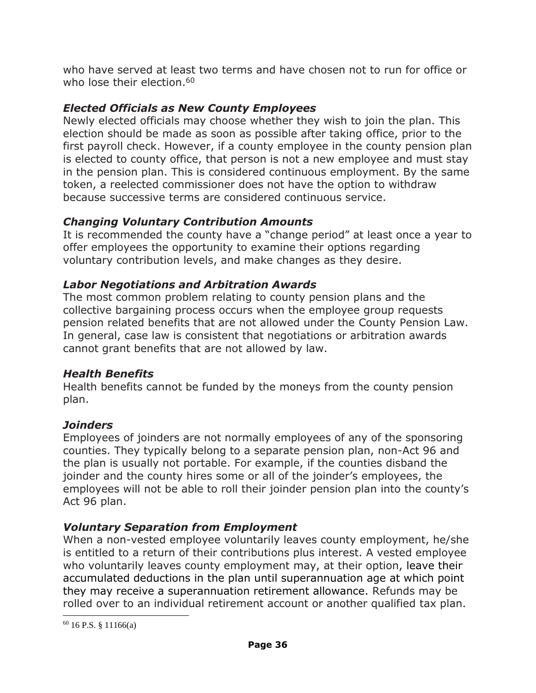who have served at least two terms and have chosen not to run for office or who lose their election.<sup>60</sup>

# *Elected Officials as New County Employees*

Newly elected officials may choose whether they wish to join the plan. This election should be made as soon as possible after taking office, prior to the first payroll check. However, if a county employee in the county pension plan is elected to county office, that person is not a new employee and must stay in the pension plan. This is considered continuous employment. By the same token, a reelected commissioner does not have the option to withdraw because successive terms are considered continuous service.

# *Changing Voluntary Contribution Amounts*

It is recommended the county have a "change period" at least once a year to offer employees the opportunity to examine their options regarding voluntary contribution levels, and make changes as they desire.

# *Labor Negotiations and Arbitration Awards*

The most common problem relating to county pension plans and the collective bargaining process occurs when the employee group requests pension related benefits that are not allowed under the County Pension Law. In general, case law is consistent that negotiations or arbitration awards cannot grant benefits that are not allowed by law.

#### *Health Benefits*

Health benefits cannot be funded by the moneys from the county pension plan.

# *Joinders*

Employees of joinders are not normally employees of any of the sponsoring counties. They typically belong to a separate pension plan, non-Act 96 and the plan is usually not portable. For example, if the counties disband the joinder and the county hires some or all of the joinder's employees, the employees will not be able to roll their joinder pension plan into the county's Act 96 plan.

# *Voluntary Separation from Employment*

When a non-vested employee voluntarily leaves county employment, he/she is entitled to a return of their contributions plus interest. A vested employee who voluntarily leaves county employment may, at their option, leave their accumulated deductions in the plan until superannuation age at which point they may receive a superannuation retirement allowance. Refunds may be rolled over to an individual retirement account or another qualified tax plan.

l

 $60$  16 P.S. § 11166(a)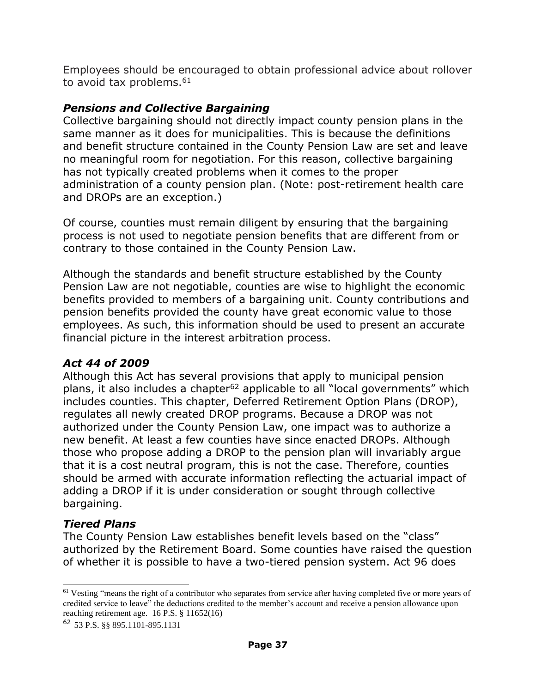Employees should be encouraged to obtain professional advice about rollover to avoid tax problems.<sup>61</sup>

### *Pensions and Collective Bargaining*

Collective bargaining should not directly impact county pension plans in the same manner as it does for municipalities. This is because the definitions and benefit structure contained in the County Pension Law are set and leave no meaningful room for negotiation. For this reason, collective bargaining has not typically created problems when it comes to the proper administration of a county pension plan. (Note: post-retirement health care and DROPs are an exception.)

Of course, counties must remain diligent by ensuring that the bargaining process is not used to negotiate pension benefits that are different from or contrary to those contained in the County Pension Law.

Although the standards and benefit structure established by the County Pension Law are not negotiable, counties are wise to highlight the economic benefits provided to members of a bargaining unit. County contributions and pension benefits provided the county have great economic value to those employees. As such, this information should be used to present an accurate financial picture in the interest arbitration process.

#### *Act 44 of 2009*

Although this Act has several provisions that apply to municipal pension plans, it also includes a chapter<sup>62</sup> applicable to all "local governments" which includes counties. This chapter, Deferred Retirement Option Plans (DROP), regulates all newly created DROP programs. Because a DROP was not authorized under the County Pension Law, one impact was to authorize a new benefit. At least a few counties have since enacted DROPs. Although those who propose adding a DROP to the pension plan will invariably argue that it is a cost neutral program, this is not the case. Therefore, counties should be armed with accurate information reflecting the actuarial impact of adding a DROP if it is under consideration or sought through collective bargaining.

#### *Tiered Plans*

 $\overline{a}$ 

The County Pension Law establishes benefit levels based on the "class" authorized by the Retirement Board. Some counties have raised the question of whether it is possible to have a two-tiered pension system. Act 96 does

 $<sup>61</sup>$  Vesting "means the right of a contributor who separates from service after having completed five or more years of</sup> credited service to leave" the deductions credited to the member's account and receive a pension allowance upon reaching retirement age. 16 P.S. § 11652(16)

<sup>62</sup> 53 P.S. §§ 895.1101-895.1131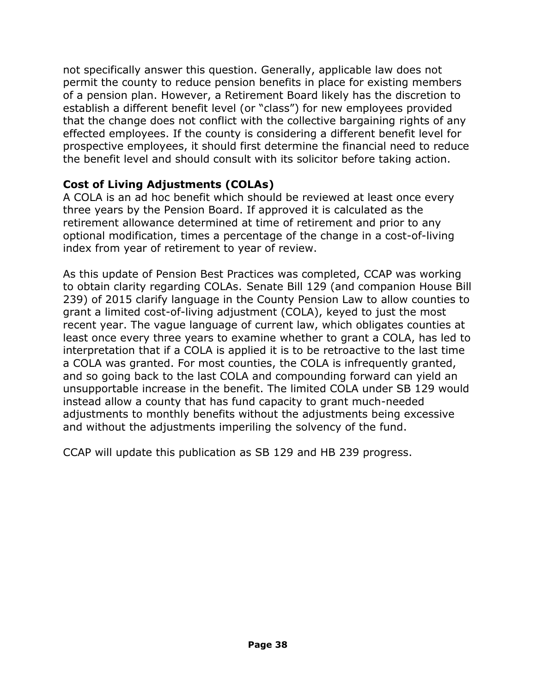not specifically answer this question. Generally, applicable law does not permit the county to reduce pension benefits in place for existing members of a pension plan. However, a Retirement Board likely has the discretion to establish a different benefit level (or "class") for new employees provided that the change does not conflict with the collective bargaining rights of any effected employees. If the county is considering a different benefit level for prospective employees, it should first determine the financial need to reduce the benefit level and should consult with its solicitor before taking action.

#### **Cost of Living Adjustments (COLAs)**

A COLA is an ad hoc benefit which should be reviewed at least once every three years by the Pension Board. If approved it is calculated as the retirement allowance determined at time of retirement and prior to any optional modification, times a percentage of the change in a cost-of-living index from year of retirement to year of review.

As this update of Pension Best Practices was completed, CCAP was working to obtain clarity regarding COLAs. Senate Bill 129 (and companion House Bill 239) of 2015 clarify language in the County Pension Law to allow counties to grant a limited cost-of-living adjustment (COLA), keyed to just the most recent year. The vague language of current law, which obligates counties at least once every three years to examine whether to grant a COLA, has led to interpretation that if a COLA is applied it is to be retroactive to the last time a COLA was granted. For most counties, the COLA is infrequently granted, and so going back to the last COLA and compounding forward can yield an unsupportable increase in the benefit. The limited COLA under SB 129 would instead allow a county that has fund capacity to grant much-needed adjustments to monthly benefits without the adjustments being excessive and without the adjustments imperiling the solvency of the fund.

CCAP will update this publication as SB 129 and HB 239 progress.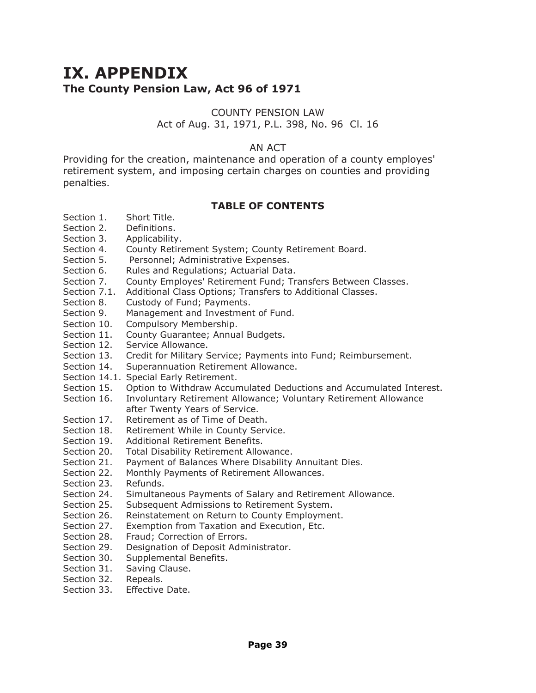# **IX. APPENDIX The County Pension Law, Act 96 of 1971**

#### COUNTY PENSION LAW

#### Act of Aug. 31, 1971, P.L. 398, No. 96 Cl. 16

#### AN ACT

Providing for the creation, maintenance and operation of a county employes' retirement system, and imposing certain charges on counties and providing penalties.

#### **TABLE OF CONTENTS**

- Section 1. Short Title.
- Section 2. Definitions.
- Section 3. Applicability.
- Section 4. County Retirement System; County Retirement Board.
- Section 5. Personnel; Administrative Expenses.
- Section 6. Rules and Regulations; Actuarial Data.
- Section 7. County Employes' Retirement Fund; Transfers Between Classes.
- Section 7.1. Additional Class Options; Transfers to Additional Classes.
- Section 8. Custody of Fund; Payments.
- Section 9. Management and Investment of Fund.<br>Section 10. Compulsory Membership.
- Compulsory Membership.
- Section 11. County Guarantee; Annual Budgets.
- Section 12. Service Allowance.<br>Section 13. Credit for Military S
- Credit for Military Service; Payments into Fund; Reimbursement.
- Section 14. Superannuation Retirement Allowance.
- Section 14.1. Special Early Retirement.
- Section 15. Option to Withdraw Accumulated Deductions and Accumulated Interest.
- Section 16. Involuntary Retirement Allowance; Voluntary Retirement Allowance after Twenty Years of Service.
- Section 17. Retirement as of Time of Death.
- Section 18. Retirement While in County Service.
- Section 19. Additional Retirement Benefits.
- Section 20. Total Disability Retirement Allowance.
- Section 21. Payment of Balances Where Disability Annuitant Dies.
- Section 22. Monthly Payments of Retirement Allowances.
- Section 23. Refunds.
- Section 24. Simultaneous Payments of Salary and Retirement Allowance.
- Section 25. Subsequent Admissions to Retirement System.
- Section 26. Reinstatement on Return to County Employment.
- Section 27. Exemption from Taxation and Execution, Etc.
- Section 28. Fraud; Correction of Errors.
- Section 29. Designation of Deposit Administrator.
- Section 30. Supplemental Benefits.
- Section 31. Saving Clause.
- Section 32. Repeals.
- Section 33. Effective Date.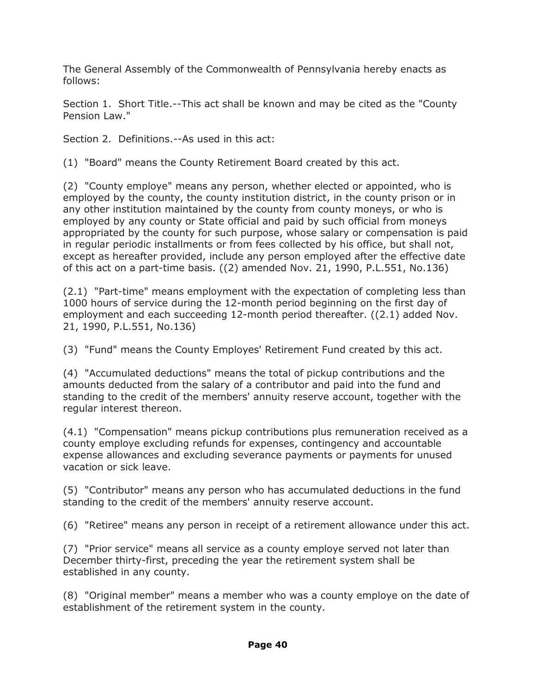The General Assembly of the Commonwealth of Pennsylvania hereby enacts as follows:

Section 1. Short Title.--This act shall be known and may be cited as the "County Pension Law."

Section 2. Definitions.--As used in this act:

(1) "Board" means the County Retirement Board created by this act.

(2) "County employe" means any person, whether elected or appointed, who is employed by the county, the county institution district, in the county prison or in any other institution maintained by the county from county moneys, or who is employed by any county or State official and paid by such official from moneys appropriated by the county for such purpose, whose salary or compensation is paid in regular periodic installments or from fees collected by his office, but shall not, except as hereafter provided, include any person employed after the effective date of this act on a part-time basis. ((2) amended Nov. 21, 1990, P.L.551, No.136)

(2.1) "Part-time" means employment with the expectation of completing less than 1000 hours of service during the 12-month period beginning on the first day of employment and each succeeding 12-month period thereafter. ((2.1) added Nov. 21, 1990, P.L.551, No.136)

(3) "Fund" means the County Employes' Retirement Fund created by this act.

(4) "Accumulated deductions" means the total of pickup contributions and the amounts deducted from the salary of a contributor and paid into the fund and standing to the credit of the members' annuity reserve account, together with the regular interest thereon.

(4.1) "Compensation" means pickup contributions plus remuneration received as a county employe excluding refunds for expenses, contingency and accountable expense allowances and excluding severance payments or payments for unused vacation or sick leave.

(5) "Contributor" means any person who has accumulated deductions in the fund standing to the credit of the members' annuity reserve account.

(6) "Retiree" means any person in receipt of a retirement allowance under this act.

(7) "Prior service" means all service as a county employe served not later than December thirty-first, preceding the year the retirement system shall be established in any county.

(8) "Original member" means a member who was a county employe on the date of establishment of the retirement system in the county.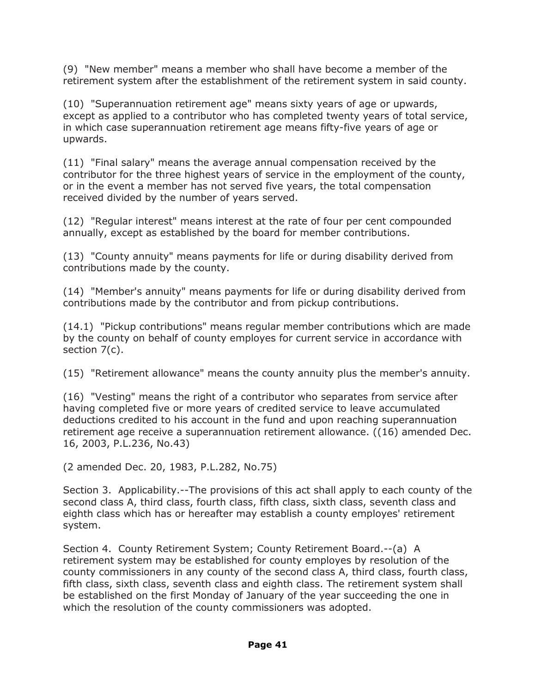(9) "New member" means a member who shall have become a member of the retirement system after the establishment of the retirement system in said county.

(10) "Superannuation retirement age" means sixty years of age or upwards, except as applied to a contributor who has completed twenty years of total service, in which case superannuation retirement age means fifty-five years of age or upwards.

(11) "Final salary" means the average annual compensation received by the contributor for the three highest years of service in the employment of the county, or in the event a member has not served five years, the total compensation received divided by the number of years served.

(12) "Regular interest" means interest at the rate of four per cent compounded annually, except as established by the board for member contributions.

(13) "County annuity" means payments for life or during disability derived from contributions made by the county.

(14) "Member's annuity" means payments for life or during disability derived from contributions made by the contributor and from pickup contributions.

(14.1) "Pickup contributions" means regular member contributions which are made by the county on behalf of county employes for current service in accordance with section 7(c).

(15) "Retirement allowance" means the county annuity plus the member's annuity.

(16) "Vesting" means the right of a contributor who separates from service after having completed five or more years of credited service to leave accumulated deductions credited to his account in the fund and upon reaching superannuation retirement age receive a superannuation retirement allowance. ((16) amended Dec. 16, 2003, P.L.236, No.43)

(2 amended Dec. 20, 1983, P.L.282, No.75)

Section 3. Applicability.--The provisions of this act shall apply to each county of the second class A, third class, fourth class, fifth class, sixth class, seventh class and eighth class which has or hereafter may establish a county employes' retirement system.

Section 4. County Retirement System; County Retirement Board.--(a) A retirement system may be established for county employes by resolution of the county commissioners in any county of the second class A, third class, fourth class, fifth class, sixth class, seventh class and eighth class. The retirement system shall be established on the first Monday of January of the year succeeding the one in which the resolution of the county commissioners was adopted.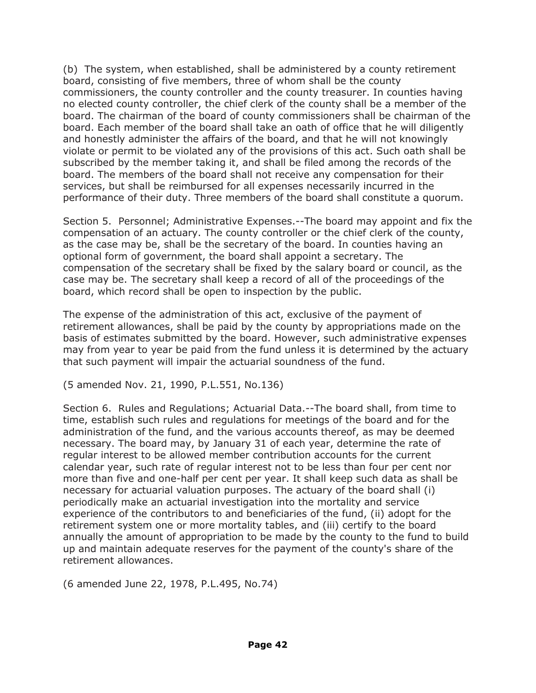(b) The system, when established, shall be administered by a county retirement board, consisting of five members, three of whom shall be the county commissioners, the county controller and the county treasurer. In counties having no elected county controller, the chief clerk of the county shall be a member of the board. The chairman of the board of county commissioners shall be chairman of the board. Each member of the board shall take an oath of office that he will diligently and honestly administer the affairs of the board, and that he will not knowingly violate or permit to be violated any of the provisions of this act. Such oath shall be subscribed by the member taking it, and shall be filed among the records of the board. The members of the board shall not receive any compensation for their services, but shall be reimbursed for all expenses necessarily incurred in the performance of their duty. Three members of the board shall constitute a quorum.

Section 5. Personnel; Administrative Expenses.--The board may appoint and fix the compensation of an actuary. The county controller or the chief clerk of the county, as the case may be, shall be the secretary of the board. In counties having an optional form of government, the board shall appoint a secretary. The compensation of the secretary shall be fixed by the salary board or council, as the case may be. The secretary shall keep a record of all of the proceedings of the board, which record shall be open to inspection by the public.

The expense of the administration of this act, exclusive of the payment of retirement allowances, shall be paid by the county by appropriations made on the basis of estimates submitted by the board. However, such administrative expenses may from year to year be paid from the fund unless it is determined by the actuary that such payment will impair the actuarial soundness of the fund.

(5 amended Nov. 21, 1990, P.L.551, No.136)

Section 6. Rules and Regulations; Actuarial Data.--The board shall, from time to time, establish such rules and regulations for meetings of the board and for the administration of the fund, and the various accounts thereof, as may be deemed necessary. The board may, by January 31 of each year, determine the rate of regular interest to be allowed member contribution accounts for the current calendar year, such rate of regular interest not to be less than four per cent nor more than five and one-half per cent per year. It shall keep such data as shall be necessary for actuarial valuation purposes. The actuary of the board shall (i) periodically make an actuarial investigation into the mortality and service experience of the contributors to and beneficiaries of the fund, (ii) adopt for the retirement system one or more mortality tables, and (iii) certify to the board annually the amount of appropriation to be made by the county to the fund to build up and maintain adequate reserves for the payment of the county's share of the retirement allowances.

(6 amended June 22, 1978, P.L.495, No.74)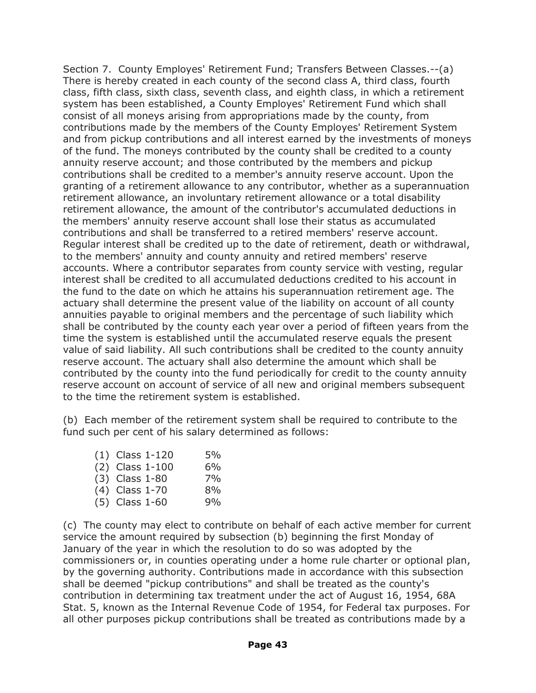Section 7. County Employes' Retirement Fund; Transfers Between Classes.--(a) There is hereby created in each county of the second class A, third class, fourth class, fifth class, sixth class, seventh class, and eighth class, in which a retirement system has been established, a County Employes' Retirement Fund which shall consist of all moneys arising from appropriations made by the county, from contributions made by the members of the County Employes' Retirement System and from pickup contributions and all interest earned by the investments of moneys of the fund. The moneys contributed by the county shall be credited to a county annuity reserve account; and those contributed by the members and pickup contributions shall be credited to a member's annuity reserve account. Upon the granting of a retirement allowance to any contributor, whether as a superannuation retirement allowance, an involuntary retirement allowance or a total disability retirement allowance, the amount of the contributor's accumulated deductions in the members' annuity reserve account shall lose their status as accumulated contributions and shall be transferred to a retired members' reserve account. Regular interest shall be credited up to the date of retirement, death or withdrawal, to the members' annuity and county annuity and retired members' reserve accounts. Where a contributor separates from county service with vesting, regular interest shall be credited to all accumulated deductions credited to his account in the fund to the date on which he attains his superannuation retirement age. The actuary shall determine the present value of the liability on account of all county annuities payable to original members and the percentage of such liability which shall be contributed by the county each year over a period of fifteen years from the time the system is established until the accumulated reserve equals the present value of said liability. All such contributions shall be credited to the county annuity reserve account. The actuary shall also determine the amount which shall be contributed by the county into the fund periodically for credit to the county annuity reserve account on account of service of all new and original members subsequent to the time the retirement system is established.

(b) Each member of the retirement system shall be required to contribute to the fund such per cent of his salary determined as follows:

| $(1)$ Class 1-120 | 5% |
|-------------------|----|
| $(2)$ Class 1-100 | 6% |
| $(3)$ Class 1-80  | 7% |
| (4) Class 1-70    | 8% |
| $(5)$ Class 1-60  | 9% |

(c) The county may elect to contribute on behalf of each active member for current service the amount required by subsection (b) beginning the first Monday of January of the year in which the resolution to do so was adopted by the commissioners or, in counties operating under a home rule charter or optional plan, by the governing authority. Contributions made in accordance with this subsection shall be deemed "pickup contributions" and shall be treated as the county's contribution in determining tax treatment under the act of August 16, 1954, 68A Stat. 5, known as the Internal Revenue Code of 1954, for Federal tax purposes. For all other purposes pickup contributions shall be treated as contributions made by a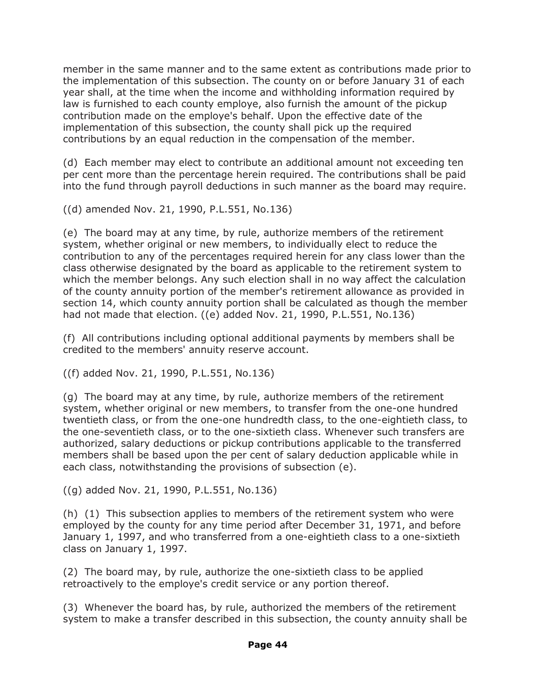member in the same manner and to the same extent as contributions made prior to the implementation of this subsection. The county on or before January 31 of each year shall, at the time when the income and withholding information required by law is furnished to each county employe, also furnish the amount of the pickup contribution made on the employe's behalf. Upon the effective date of the implementation of this subsection, the county shall pick up the required contributions by an equal reduction in the compensation of the member.

(d) Each member may elect to contribute an additional amount not exceeding ten per cent more than the percentage herein required. The contributions shall be paid into the fund through payroll deductions in such manner as the board may require.

((d) amended Nov. 21, 1990, P.L.551, No.136)

(e) The board may at any time, by rule, authorize members of the retirement system, whether original or new members, to individually elect to reduce the contribution to any of the percentages required herein for any class lower than the class otherwise designated by the board as applicable to the retirement system to which the member belongs. Any such election shall in no way affect the calculation of the county annuity portion of the member's retirement allowance as provided in section 14, which county annuity portion shall be calculated as though the member had not made that election. ((e) added Nov. 21, 1990, P.L.551, No.136)

(f) All contributions including optional additional payments by members shall be credited to the members' annuity reserve account.

((f) added Nov. 21, 1990, P.L.551, No.136)

(g) The board may at any time, by rule, authorize members of the retirement system, whether original or new members, to transfer from the one-one hundred twentieth class, or from the one-one hundredth class, to the one-eightieth class, to the one-seventieth class, or to the one-sixtieth class. Whenever such transfers are authorized, salary deductions or pickup contributions applicable to the transferred members shall be based upon the per cent of salary deduction applicable while in each class, notwithstanding the provisions of subsection (e).

((g) added Nov. 21, 1990, P.L.551, No.136)

(h) (1) This subsection applies to members of the retirement system who were employed by the county for any time period after December 31, 1971, and before January 1, 1997, and who transferred from a one-eightieth class to a one-sixtieth class on January 1, 1997.

(2) The board may, by rule, authorize the one-sixtieth class to be applied retroactively to the employe's credit service or any portion thereof.

(3) Whenever the board has, by rule, authorized the members of the retirement system to make a transfer described in this subsection, the county annuity shall be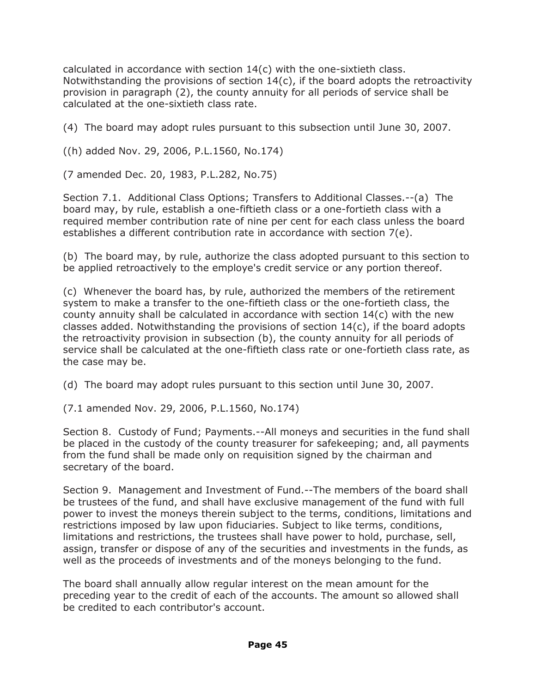calculated in accordance with section 14(c) with the one-sixtieth class. Notwithstanding the provisions of section  $14(c)$ , if the board adopts the retroactivity provision in paragraph (2), the county annuity for all periods of service shall be calculated at the one-sixtieth class rate.

(4) The board may adopt rules pursuant to this subsection until June 30, 2007.

((h) added Nov. 29, 2006, P.L.1560, No.174)

(7 amended Dec. 20, 1983, P.L.282, No.75)

Section 7.1. Additional Class Options; Transfers to Additional Classes.--(a) The board may, by rule, establish a one-fiftieth class or a one-fortieth class with a required member contribution rate of nine per cent for each class unless the board establishes a different contribution rate in accordance with section 7(e).

(b) The board may, by rule, authorize the class adopted pursuant to this section to be applied retroactively to the employe's credit service or any portion thereof.

(c) Whenever the board has, by rule, authorized the members of the retirement system to make a transfer to the one-fiftieth class or the one-fortieth class, the county annuity shall be calculated in accordance with section  $14(c)$  with the new classes added. Notwithstanding the provisions of section  $14(c)$ , if the board adopts the retroactivity provision in subsection (b), the county annuity for all periods of service shall be calculated at the one-fiftieth class rate or one-fortieth class rate, as the case may be.

(d) The board may adopt rules pursuant to this section until June 30, 2007.

(7.1 amended Nov. 29, 2006, P.L.1560, No.174)

Section 8. Custody of Fund; Payments.--All moneys and securities in the fund shall be placed in the custody of the county treasurer for safekeeping; and, all payments from the fund shall be made only on requisition signed by the chairman and secretary of the board.

Section 9. Management and Investment of Fund.--The members of the board shall be trustees of the fund, and shall have exclusive management of the fund with full power to invest the moneys therein subject to the terms, conditions, limitations and restrictions imposed by law upon fiduciaries. Subject to like terms, conditions, limitations and restrictions, the trustees shall have power to hold, purchase, sell, assign, transfer or dispose of any of the securities and investments in the funds, as well as the proceeds of investments and of the moneys belonging to the fund.

The board shall annually allow regular interest on the mean amount for the preceding year to the credit of each of the accounts. The amount so allowed shall be credited to each contributor's account.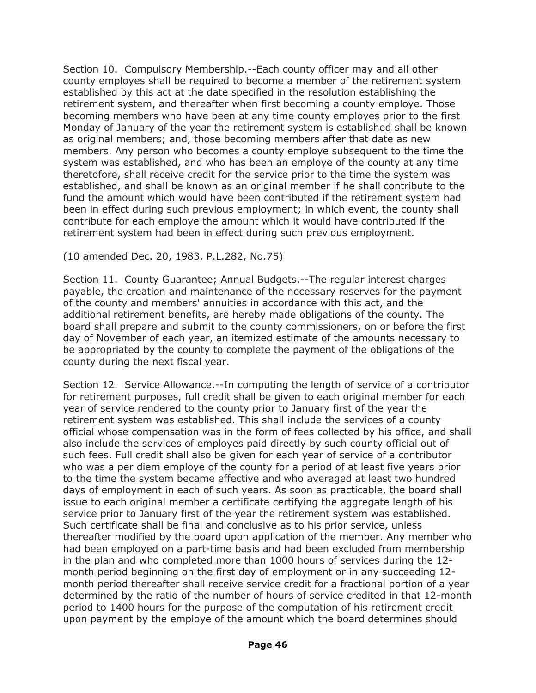Section 10. Compulsory Membership.--Each county officer may and all other county employes shall be required to become a member of the retirement system established by this act at the date specified in the resolution establishing the retirement system, and thereafter when first becoming a county employe. Those becoming members who have been at any time county employes prior to the first Monday of January of the year the retirement system is established shall be known as original members; and, those becoming members after that date as new members. Any person who becomes a county employe subsequent to the time the system was established, and who has been an employe of the county at any time theretofore, shall receive credit for the service prior to the time the system was established, and shall be known as an original member if he shall contribute to the fund the amount which would have been contributed if the retirement system had been in effect during such previous employment; in which event, the county shall contribute for each employe the amount which it would have contributed if the retirement system had been in effect during such previous employment.

#### (10 amended Dec. 20, 1983, P.L.282, No.75)

Section 11. County Guarantee; Annual Budgets.--The regular interest charges payable, the creation and maintenance of the necessary reserves for the payment of the county and members' annuities in accordance with this act, and the additional retirement benefits, are hereby made obligations of the county. The board shall prepare and submit to the county commissioners, on or before the first day of November of each year, an itemized estimate of the amounts necessary to be appropriated by the county to complete the payment of the obligations of the county during the next fiscal year.

Section 12. Service Allowance.--In computing the length of service of a contributor for retirement purposes, full credit shall be given to each original member for each year of service rendered to the county prior to January first of the year the retirement system was established. This shall include the services of a county official whose compensation was in the form of fees collected by his office, and shall also include the services of employes paid directly by such county official out of such fees. Full credit shall also be given for each year of service of a contributor who was a per diem employe of the county for a period of at least five years prior to the time the system became effective and who averaged at least two hundred days of employment in each of such years. As soon as practicable, the board shall issue to each original member a certificate certifying the aggregate length of his service prior to January first of the year the retirement system was established. Such certificate shall be final and conclusive as to his prior service, unless thereafter modified by the board upon application of the member. Any member who had been employed on a part-time basis and had been excluded from membership in the plan and who completed more than 1000 hours of services during the 12 month period beginning on the first day of employment or in any succeeding 12 month period thereafter shall receive service credit for a fractional portion of a year determined by the ratio of the number of hours of service credited in that 12-month period to 1400 hours for the purpose of the computation of his retirement credit upon payment by the employe of the amount which the board determines should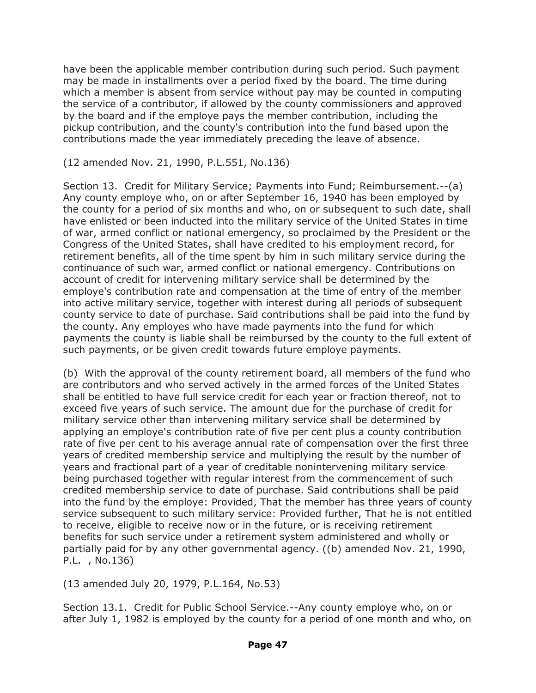have been the applicable member contribution during such period. Such payment may be made in installments over a period fixed by the board. The time during which a member is absent from service without pay may be counted in computing the service of a contributor, if allowed by the county commissioners and approved by the board and if the employe pays the member contribution, including the pickup contribution, and the county's contribution into the fund based upon the contributions made the year immediately preceding the leave of absence.

#### (12 amended Nov. 21, 1990, P.L.551, No.136)

Section 13. Credit for Military Service; Payments into Fund; Reimbursement.--(a) Any county employe who, on or after September 16, 1940 has been employed by the county for a period of six months and who, on or subsequent to such date, shall have enlisted or been inducted into the military service of the United States in time of war, armed conflict or national emergency, so proclaimed by the President or the Congress of the United States, shall have credited to his employment record, for retirement benefits, all of the time spent by him in such military service during the continuance of such war, armed conflict or national emergency. Contributions on account of credit for intervening military service shall be determined by the employe's contribution rate and compensation at the time of entry of the member into active military service, together with interest during all periods of subsequent county service to date of purchase. Said contributions shall be paid into the fund by the county. Any employes who have made payments into the fund for which payments the county is liable shall be reimbursed by the county to the full extent of such payments, or be given credit towards future employe payments.

(b) With the approval of the county retirement board, all members of the fund who are contributors and who served actively in the armed forces of the United States shall be entitled to have full service credit for each year or fraction thereof, not to exceed five years of such service. The amount due for the purchase of credit for military service other than intervening military service shall be determined by applying an employe's contribution rate of five per cent plus a county contribution rate of five per cent to his average annual rate of compensation over the first three years of credited membership service and multiplying the result by the number of years and fractional part of a year of creditable nonintervening military service being purchased together with regular interest from the commencement of such credited membership service to date of purchase. Said contributions shall be paid into the fund by the employe: Provided, That the member has three years of county service subsequent to such military service: Provided further, That he is not entitled to receive, eligible to receive now or in the future, or is receiving retirement benefits for such service under a retirement system administered and wholly or partially paid for by any other governmental agency. ((b) amended Nov. 21, 1990, P.L. , No.136)

(13 amended July 20, 1979, P.L.164, No.53)

Section 13.1. Credit for Public School Service.--Any county employe who, on or after July 1, 1982 is employed by the county for a period of one month and who, on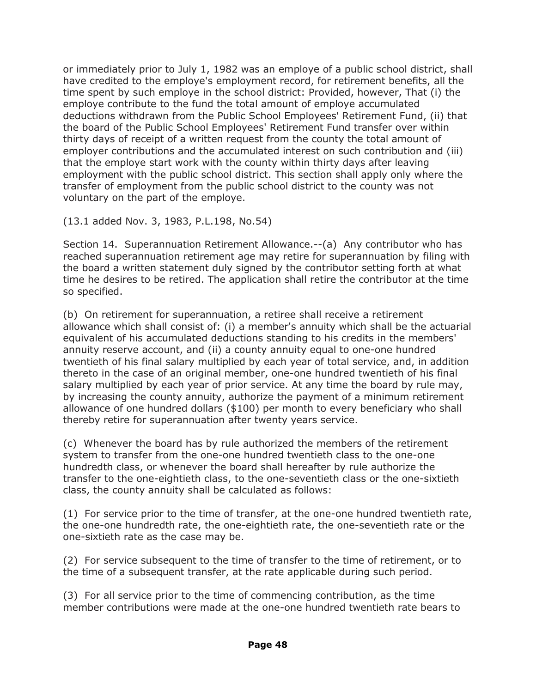or immediately prior to July 1, 1982 was an employe of a public school district, shall have credited to the employe's employment record, for retirement benefits, all the time spent by such employe in the school district: Provided, however, That (i) the employe contribute to the fund the total amount of employe accumulated deductions withdrawn from the Public School Employees' Retirement Fund, (ii) that the board of the Public School Employees' Retirement Fund transfer over within thirty days of receipt of a written request from the county the total amount of employer contributions and the accumulated interest on such contribution and (iii) that the employe start work with the county within thirty days after leaving employment with the public school district. This section shall apply only where the transfer of employment from the public school district to the county was not voluntary on the part of the employe.

(13.1 added Nov. 3, 1983, P.L.198, No.54)

Section 14. Superannuation Retirement Allowance.--(a) Any contributor who has reached superannuation retirement age may retire for superannuation by filing with the board a written statement duly signed by the contributor setting forth at what time he desires to be retired. The application shall retire the contributor at the time so specified.

(b) On retirement for superannuation, a retiree shall receive a retirement allowance which shall consist of: (i) a member's annuity which shall be the actuarial equivalent of his accumulated deductions standing to his credits in the members' annuity reserve account, and (ii) a county annuity equal to one-one hundred twentieth of his final salary multiplied by each year of total service, and, in addition thereto in the case of an original member, one-one hundred twentieth of his final salary multiplied by each year of prior service. At any time the board by rule may, by increasing the county annuity, authorize the payment of a minimum retirement allowance of one hundred dollars (\$100) per month to every beneficiary who shall thereby retire for superannuation after twenty years service.

(c) Whenever the board has by rule authorized the members of the retirement system to transfer from the one-one hundred twentieth class to the one-one hundredth class, or whenever the board shall hereafter by rule authorize the transfer to the one-eightieth class, to the one-seventieth class or the one-sixtieth class, the county annuity shall be calculated as follows:

(1) For service prior to the time of transfer, at the one-one hundred twentieth rate, the one-one hundredth rate, the one-eightieth rate, the one-seventieth rate or the one-sixtieth rate as the case may be.

(2) For service subsequent to the time of transfer to the time of retirement, or to the time of a subsequent transfer, at the rate applicable during such period.

(3) For all service prior to the time of commencing contribution, as the time member contributions were made at the one-one hundred twentieth rate bears to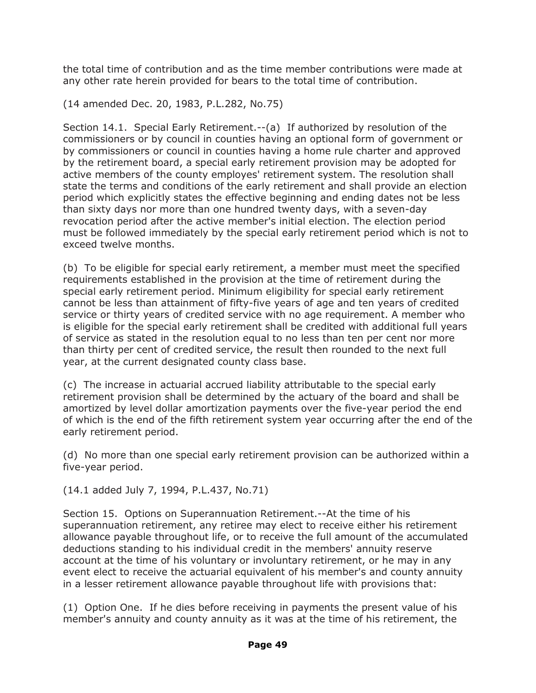the total time of contribution and as the time member contributions were made at any other rate herein provided for bears to the total time of contribution.

(14 amended Dec. 20, 1983, P.L.282, No.75)

Section 14.1. Special Early Retirement.--(a) If authorized by resolution of the commissioners or by council in counties having an optional form of government or by commissioners or council in counties having a home rule charter and approved by the retirement board, a special early retirement provision may be adopted for active members of the county employes' retirement system. The resolution shall state the terms and conditions of the early retirement and shall provide an election period which explicitly states the effective beginning and ending dates not be less than sixty days nor more than one hundred twenty days, with a seven-day revocation period after the active member's initial election. The election period must be followed immediately by the special early retirement period which is not to exceed twelve months.

(b) To be eligible for special early retirement, a member must meet the specified requirements established in the provision at the time of retirement during the special early retirement period. Minimum eligibility for special early retirement cannot be less than attainment of fifty-five years of age and ten years of credited service or thirty years of credited service with no age requirement. A member who is eligible for the special early retirement shall be credited with additional full years of service as stated in the resolution equal to no less than ten per cent nor more than thirty per cent of credited service, the result then rounded to the next full year, at the current designated county class base.

(c) The increase in actuarial accrued liability attributable to the special early retirement provision shall be determined by the actuary of the board and shall be amortized by level dollar amortization payments over the five-year period the end of which is the end of the fifth retirement system year occurring after the end of the early retirement period.

(d) No more than one special early retirement provision can be authorized within a five-year period.

(14.1 added July 7, 1994, P.L.437, No.71)

Section 15. Options on Superannuation Retirement.--At the time of his superannuation retirement, any retiree may elect to receive either his retirement allowance payable throughout life, or to receive the full amount of the accumulated deductions standing to his individual credit in the members' annuity reserve account at the time of his voluntary or involuntary retirement, or he may in any event elect to receive the actuarial equivalent of his member's and county annuity in a lesser retirement allowance payable throughout life with provisions that:

(1) Option One. If he dies before receiving in payments the present value of his member's annuity and county annuity as it was at the time of his retirement, the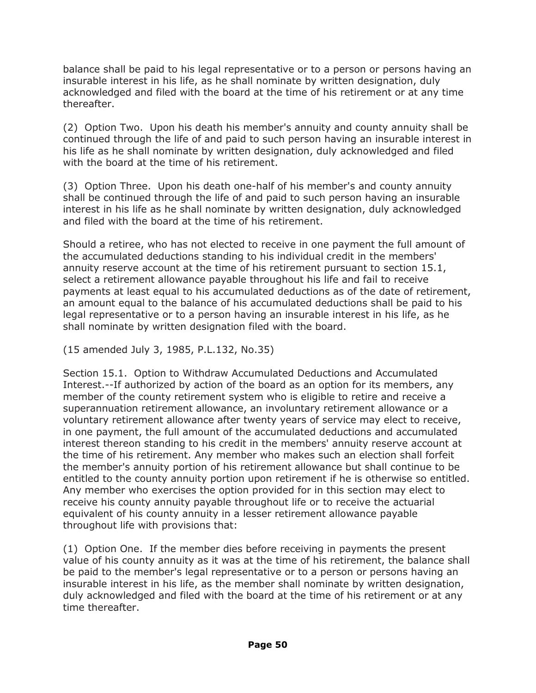balance shall be paid to his legal representative or to a person or persons having an insurable interest in his life, as he shall nominate by written designation, duly acknowledged and filed with the board at the time of his retirement or at any time thereafter.

(2) Option Two. Upon his death his member's annuity and county annuity shall be continued through the life of and paid to such person having an insurable interest in his life as he shall nominate by written designation, duly acknowledged and filed with the board at the time of his retirement.

(3) Option Three. Upon his death one-half of his member's and county annuity shall be continued through the life of and paid to such person having an insurable interest in his life as he shall nominate by written designation, duly acknowledged and filed with the board at the time of his retirement.

Should a retiree, who has not elected to receive in one payment the full amount of the accumulated deductions standing to his individual credit in the members' annuity reserve account at the time of his retirement pursuant to section 15.1, select a retirement allowance payable throughout his life and fail to receive payments at least equal to his accumulated deductions as of the date of retirement, an amount equal to the balance of his accumulated deductions shall be paid to his legal representative or to a person having an insurable interest in his life, as he shall nominate by written designation filed with the board.

(15 amended July 3, 1985, P.L.132, No.35)

Section 15.1. Option to Withdraw Accumulated Deductions and Accumulated Interest.--If authorized by action of the board as an option for its members, any member of the county retirement system who is eligible to retire and receive a superannuation retirement allowance, an involuntary retirement allowance or a voluntary retirement allowance after twenty years of service may elect to receive, in one payment, the full amount of the accumulated deductions and accumulated interest thereon standing to his credit in the members' annuity reserve account at the time of his retirement. Any member who makes such an election shall forfeit the member's annuity portion of his retirement allowance but shall continue to be entitled to the county annuity portion upon retirement if he is otherwise so entitled. Any member who exercises the option provided for in this section may elect to receive his county annuity payable throughout life or to receive the actuarial equivalent of his county annuity in a lesser retirement allowance payable throughout life with provisions that:

(1) Option One. If the member dies before receiving in payments the present value of his county annuity as it was at the time of his retirement, the balance shall be paid to the member's legal representative or to a person or persons having an insurable interest in his life, as the member shall nominate by written designation, duly acknowledged and filed with the board at the time of his retirement or at any time thereafter.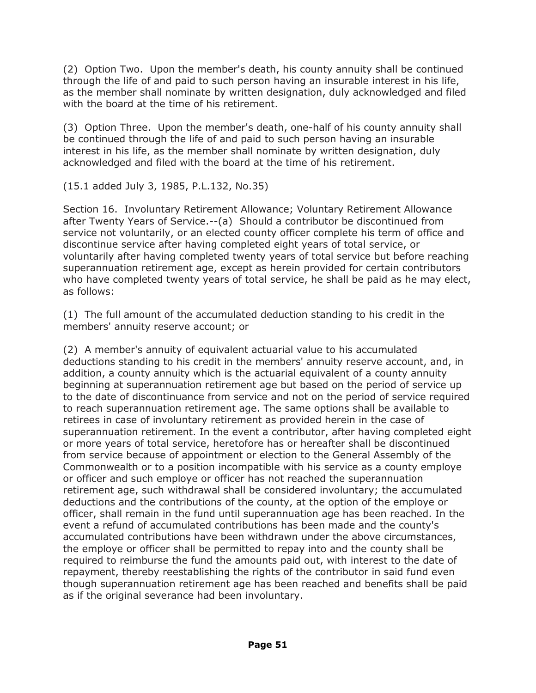(2) Option Two. Upon the member's death, his county annuity shall be continued through the life of and paid to such person having an insurable interest in his life, as the member shall nominate by written designation, duly acknowledged and filed with the board at the time of his retirement.

(3) Option Three. Upon the member's death, one-half of his county annuity shall be continued through the life of and paid to such person having an insurable interest in his life, as the member shall nominate by written designation, duly acknowledged and filed with the board at the time of his retirement.

(15.1 added July 3, 1985, P.L.132, No.35)

Section 16. Involuntary Retirement Allowance; Voluntary Retirement Allowance after Twenty Years of Service.--(a) Should a contributor be discontinued from service not voluntarily, or an elected county officer complete his term of office and discontinue service after having completed eight years of total service, or voluntarily after having completed twenty years of total service but before reaching superannuation retirement age, except as herein provided for certain contributors who have completed twenty years of total service, he shall be paid as he may elect, as follows:

(1) The full amount of the accumulated deduction standing to his credit in the members' annuity reserve account; or

(2) A member's annuity of equivalent actuarial value to his accumulated deductions standing to his credit in the members' annuity reserve account, and, in addition, a county annuity which is the actuarial equivalent of a county annuity beginning at superannuation retirement age but based on the period of service up to the date of discontinuance from service and not on the period of service required to reach superannuation retirement age. The same options shall be available to retirees in case of involuntary retirement as provided herein in the case of superannuation retirement. In the event a contributor, after having completed eight or more years of total service, heretofore has or hereafter shall be discontinued from service because of appointment or election to the General Assembly of the Commonwealth or to a position incompatible with his service as a county employe or officer and such employe or officer has not reached the superannuation retirement age, such withdrawal shall be considered involuntary; the accumulated deductions and the contributions of the county, at the option of the employe or officer, shall remain in the fund until superannuation age has been reached. In the event a refund of accumulated contributions has been made and the county's accumulated contributions have been withdrawn under the above circumstances, the employe or officer shall be permitted to repay into and the county shall be required to reimburse the fund the amounts paid out, with interest to the date of repayment, thereby reestablishing the rights of the contributor in said fund even though superannuation retirement age has been reached and benefits shall be paid as if the original severance had been involuntary.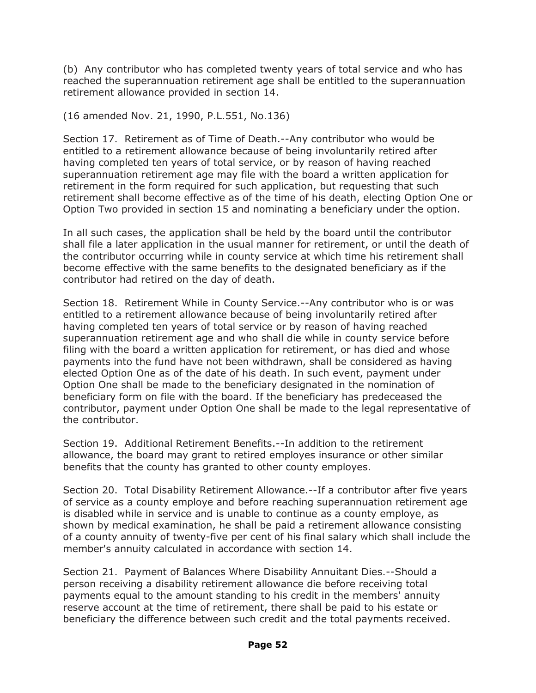(b) Any contributor who has completed twenty years of total service and who has reached the superannuation retirement age shall be entitled to the superannuation retirement allowance provided in section 14.

#### (16 amended Nov. 21, 1990, P.L.551, No.136)

Section 17. Retirement as of Time of Death.--Any contributor who would be entitled to a retirement allowance because of being involuntarily retired after having completed ten years of total service, or by reason of having reached superannuation retirement age may file with the board a written application for retirement in the form required for such application, but requesting that such retirement shall become effective as of the time of his death, electing Option One or Option Two provided in section 15 and nominating a beneficiary under the option.

In all such cases, the application shall be held by the board until the contributor shall file a later application in the usual manner for retirement, or until the death of the contributor occurring while in county service at which time his retirement shall become effective with the same benefits to the designated beneficiary as if the contributor had retired on the day of death.

Section 18. Retirement While in County Service.--Any contributor who is or was entitled to a retirement allowance because of being involuntarily retired after having completed ten years of total service or by reason of having reached superannuation retirement age and who shall die while in county service before filing with the board a written application for retirement, or has died and whose payments into the fund have not been withdrawn, shall be considered as having elected Option One as of the date of his death. In such event, payment under Option One shall be made to the beneficiary designated in the nomination of beneficiary form on file with the board. If the beneficiary has predeceased the contributor, payment under Option One shall be made to the legal representative of the contributor.

Section 19. Additional Retirement Benefits.--In addition to the retirement allowance, the board may grant to retired employes insurance or other similar benefits that the county has granted to other county employes.

Section 20. Total Disability Retirement Allowance.--If a contributor after five years of service as a county employe and before reaching superannuation retirement age is disabled while in service and is unable to continue as a county employe, as shown by medical examination, he shall be paid a retirement allowance consisting of a county annuity of twenty-five per cent of his final salary which shall include the member's annuity calculated in accordance with section 14.

Section 21. Payment of Balances Where Disability Annuitant Dies.--Should a person receiving a disability retirement allowance die before receiving total payments equal to the amount standing to his credit in the members' annuity reserve account at the time of retirement, there shall be paid to his estate or beneficiary the difference between such credit and the total payments received.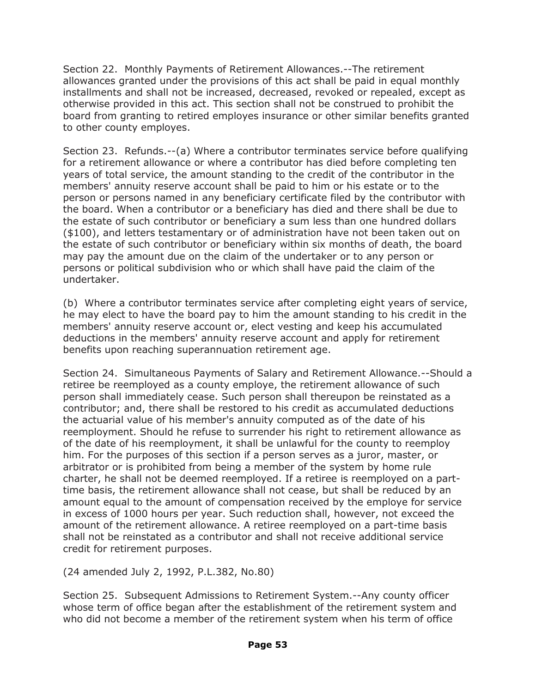Section 22. Monthly Payments of Retirement Allowances.--The retirement allowances granted under the provisions of this act shall be paid in equal monthly installments and shall not be increased, decreased, revoked or repealed, except as otherwise provided in this act. This section shall not be construed to prohibit the board from granting to retired employes insurance or other similar benefits granted to other county employes.

Section 23. Refunds.--(a) Where a contributor terminates service before qualifying for a retirement allowance or where a contributor has died before completing ten years of total service, the amount standing to the credit of the contributor in the members' annuity reserve account shall be paid to him or his estate or to the person or persons named in any beneficiary certificate filed by the contributor with the board. When a contributor or a beneficiary has died and there shall be due to the estate of such contributor or beneficiary a sum less than one hundred dollars (\$100), and letters testamentary or of administration have not been taken out on the estate of such contributor or beneficiary within six months of death, the board may pay the amount due on the claim of the undertaker or to any person or persons or political subdivision who or which shall have paid the claim of the undertaker.

(b) Where a contributor terminates service after completing eight years of service, he may elect to have the board pay to him the amount standing to his credit in the members' annuity reserve account or, elect vesting and keep his accumulated deductions in the members' annuity reserve account and apply for retirement benefits upon reaching superannuation retirement age.

Section 24. Simultaneous Payments of Salary and Retirement Allowance.--Should a retiree be reemployed as a county employe, the retirement allowance of such person shall immediately cease. Such person shall thereupon be reinstated as a contributor; and, there shall be restored to his credit as accumulated deductions the actuarial value of his member's annuity computed as of the date of his reemployment. Should he refuse to surrender his right to retirement allowance as of the date of his reemployment, it shall be unlawful for the county to reemploy him. For the purposes of this section if a person serves as a juror, master, or arbitrator or is prohibited from being a member of the system by home rule charter, he shall not be deemed reemployed. If a retiree is reemployed on a parttime basis, the retirement allowance shall not cease, but shall be reduced by an amount equal to the amount of compensation received by the employe for service in excess of 1000 hours per year. Such reduction shall, however, not exceed the amount of the retirement allowance. A retiree reemployed on a part-time basis shall not be reinstated as a contributor and shall not receive additional service credit for retirement purposes.

(24 amended July 2, 1992, P.L.382, No.80)

Section 25. Subsequent Admissions to Retirement System.--Any county officer whose term of office began after the establishment of the retirement system and who did not become a member of the retirement system when his term of office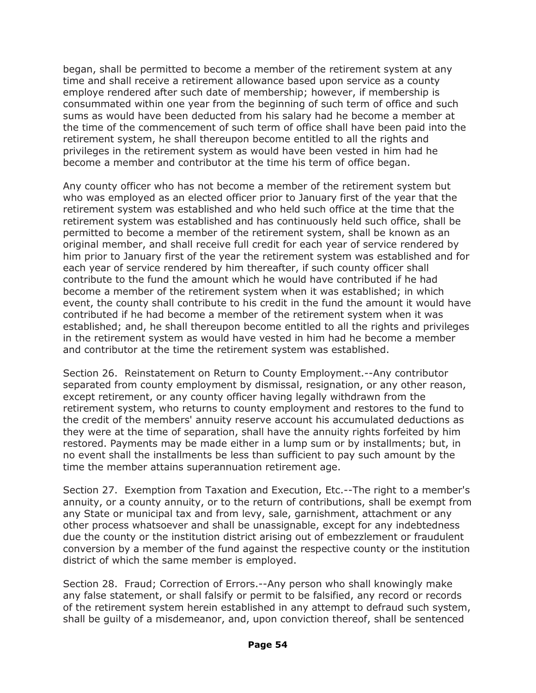began, shall be permitted to become a member of the retirement system at any time and shall receive a retirement allowance based upon service as a county employe rendered after such date of membership; however, if membership is consummated within one year from the beginning of such term of office and such sums as would have been deducted from his salary had he become a member at the time of the commencement of such term of office shall have been paid into the retirement system, he shall thereupon become entitled to all the rights and privileges in the retirement system as would have been vested in him had he become a member and contributor at the time his term of office began.

Any county officer who has not become a member of the retirement system but who was employed as an elected officer prior to January first of the year that the retirement system was established and who held such office at the time that the retirement system was established and has continuously held such office, shall be permitted to become a member of the retirement system, shall be known as an original member, and shall receive full credit for each year of service rendered by him prior to January first of the year the retirement system was established and for each year of service rendered by him thereafter, if such county officer shall contribute to the fund the amount which he would have contributed if he had become a member of the retirement system when it was established; in which event, the county shall contribute to his credit in the fund the amount it would have contributed if he had become a member of the retirement system when it was established; and, he shall thereupon become entitled to all the rights and privileges in the retirement system as would have vested in him had he become a member and contributor at the time the retirement system was established.

Section 26. Reinstatement on Return to County Employment.--Any contributor separated from county employment by dismissal, resignation, or any other reason, except retirement, or any county officer having legally withdrawn from the retirement system, who returns to county employment and restores to the fund to the credit of the members' annuity reserve account his accumulated deductions as they were at the time of separation, shall have the annuity rights forfeited by him restored. Payments may be made either in a lump sum or by installments; but, in no event shall the installments be less than sufficient to pay such amount by the time the member attains superannuation retirement age.

Section 27. Exemption from Taxation and Execution, Etc.--The right to a member's annuity, or a county annuity, or to the return of contributions, shall be exempt from any State or municipal tax and from levy, sale, garnishment, attachment or any other process whatsoever and shall be unassignable, except for any indebtedness due the county or the institution district arising out of embezzlement or fraudulent conversion by a member of the fund against the respective county or the institution district of which the same member is employed.

Section 28. Fraud; Correction of Errors.--Any person who shall knowingly make any false statement, or shall falsify or permit to be falsified, any record or records of the retirement system herein established in any attempt to defraud such system, shall be guilty of a misdemeanor, and, upon conviction thereof, shall be sentenced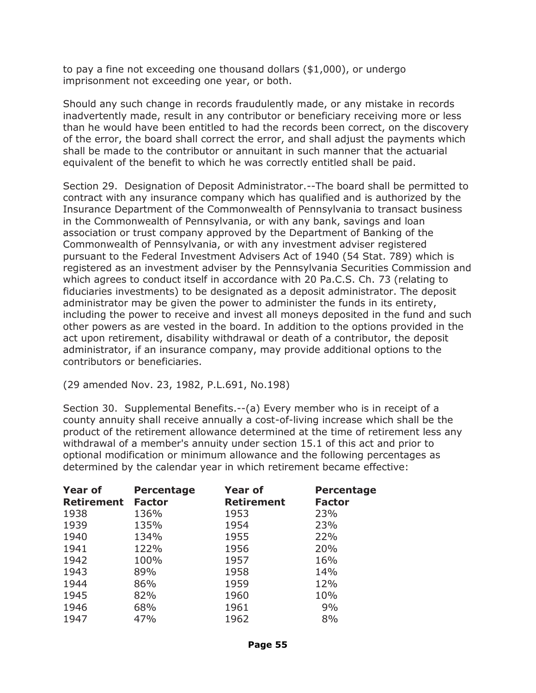to pay a fine not exceeding one thousand dollars (\$1,000), or undergo imprisonment not exceeding one year, or both.

Should any such change in records fraudulently made, or any mistake in records inadvertently made, result in any contributor or beneficiary receiving more or less than he would have been entitled to had the records been correct, on the discovery of the error, the board shall correct the error, and shall adjust the payments which shall be made to the contributor or annuitant in such manner that the actuarial equivalent of the benefit to which he was correctly entitled shall be paid.

Section 29. Designation of Deposit Administrator.--The board shall be permitted to contract with any insurance company which has qualified and is authorized by the Insurance Department of the Commonwealth of Pennsylvania to transact business in the Commonwealth of Pennsylvania, or with any bank, savings and loan association or trust company approved by the Department of Banking of the Commonwealth of Pennsylvania, or with any investment adviser registered pursuant to the Federal Investment Advisers Act of 1940 (54 Stat. 789) which is registered as an investment adviser by the Pennsylvania Securities Commission and which agrees to conduct itself in accordance with 20 Pa.C.S. Ch. 73 (relating to fiduciaries investments) to be designated as a deposit administrator. The deposit administrator may be given the power to administer the funds in its entirety, including the power to receive and invest all moneys deposited in the fund and such other powers as are vested in the board. In addition to the options provided in the act upon retirement, disability withdrawal or death of a contributor, the deposit administrator, if an insurance company, may provide additional options to the contributors or beneficiaries.

(29 amended Nov. 23, 1982, P.L.691, No.198)

Section 30. Supplemental Benefits.--(a) Every member who is in receipt of a county annuity shall receive annually a cost-of-living increase which shall be the product of the retirement allowance determined at the time of retirement less any withdrawal of a member's annuity under section 15.1 of this act and prior to optional modification or minimum allowance and the following percentages as determined by the calendar year in which retirement became effective:

| <b>Year of</b><br><b>Retirement</b> | <b>Percentage</b><br><b>Factor</b> | <b>Year of</b><br><b>Retirement</b> | Percentage<br><b>Factor</b> |
|-------------------------------------|------------------------------------|-------------------------------------|-----------------------------|
| 1938                                | 136%                               | 1953                                | 23%                         |
| 1939                                | 135%                               | 1954                                | 23%                         |
| 1940                                | 134%                               | 1955                                | 22%                         |
| 1941                                | 122%                               | 1956                                | 20%                         |
| 1942                                | 100%                               | 1957                                | 16%                         |
| 1943                                | 89%                                | 1958                                | 14%                         |
| 1944                                | 86%                                | 1959                                | 12%                         |
| 1945                                | 82%                                | 1960                                | 10%                         |
| 1946                                | 68%                                | 1961                                | 9%                          |
| 1947                                | 47%                                | 1962                                | 8%                          |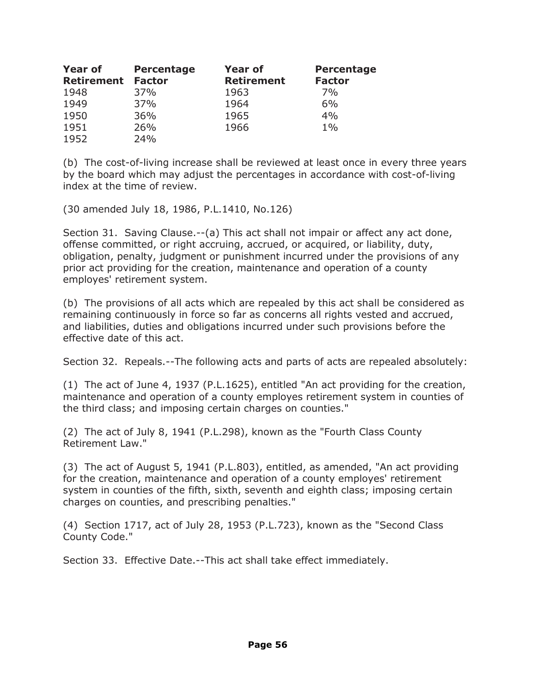| <b>Year of</b>    | <b>Percentage</b> | <b>Year of</b>    | <b>Percentage</b> |
|-------------------|-------------------|-------------------|-------------------|
| <b>Retirement</b> | <b>Factor</b>     | <b>Retirement</b> | <b>Factor</b>     |
| 1948              | 37%               | 1963              | 7%                |
| 1949              | 37%               | 1964              | 6%                |
| 1950              | 36%               | 1965              | 4%                |
| 1951              | 26%               | 1966              | $1\%$             |
| 1952              | 24%               |                   |                   |

(b) The cost-of-living increase shall be reviewed at least once in every three years by the board which may adjust the percentages in accordance with cost-of-living index at the time of review.

(30 amended July 18, 1986, P.L.1410, No.126)

Section 31. Saving Clause.--(a) This act shall not impair or affect any act done, offense committed, or right accruing, accrued, or acquired, or liability, duty, obligation, penalty, judgment or punishment incurred under the provisions of any prior act providing for the creation, maintenance and operation of a county employes' retirement system.

(b) The provisions of all acts which are repealed by this act shall be considered as remaining continuously in force so far as concerns all rights vested and accrued, and liabilities, duties and obligations incurred under such provisions before the effective date of this act.

Section 32. Repeals.--The following acts and parts of acts are repealed absolutely:

(1) The act of June 4, 1937 (P.L.1625), entitled "An act providing for the creation, maintenance and operation of a county employes retirement system in counties of the third class; and imposing certain charges on counties."

(2) The act of July 8, 1941 (P.L.298), known as the "Fourth Class County Retirement Law."

(3) The act of August 5, 1941 (P.L.803), entitled, as amended, "An act providing for the creation, maintenance and operation of a county employes' retirement system in counties of the fifth, sixth, seventh and eighth class; imposing certain charges on counties, and prescribing penalties."

(4) Section 1717, act of July 28, 1953 (P.L.723), known as the "Second Class County Code."

Section 33. Effective Date.--This act shall take effect immediately.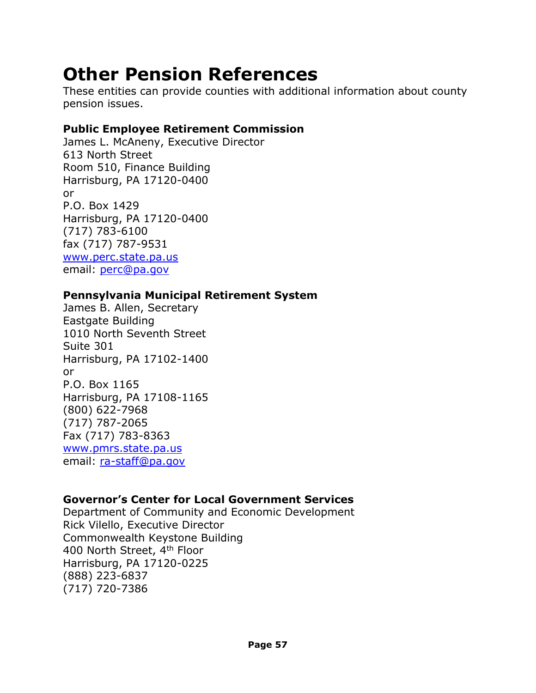# **Other Pension References**

These entities can provide counties with additional information about county pension issues.

### **Public Employee Retirement Commission**

James L. McAneny, Executive Director 613 North Street Room 510, Finance Building Harrisburg, PA 17120-0400 or P.O. Box 1429 Harrisburg, PA 17120-0400 (717) 783-6100 fax (717) 787-9531 [www.perc.state.pa.us](http://www.perc.state.pa.us/) email: [perc@pa.gov](mailto:perc@pa.gov)

# **Pennsylvania Municipal Retirement System**

James B. Allen, Secretary Eastgate Building 1010 North Seventh Street Suite 301 Harrisburg, PA 17102-1400 or P.O. Box 1165 Harrisburg, PA 17108-1165 (800) 622-7968 (717) 787-2065 Fax (717) 783-8363 [www.pmrs.state.pa.us](http://www.pmrs.state.pa.us/) email: [ra-staff@pa.gov](mailto:ra-staff@pa.gov)

# **Governor's Center for Local Government Services**

Department of Community and Economic Development Rick Vilello, Executive Director Commonwealth Keystone Building 400 North Street, 4th Floor Harrisburg, PA 17120-0225 (888) 223-6837 (717) 720-7386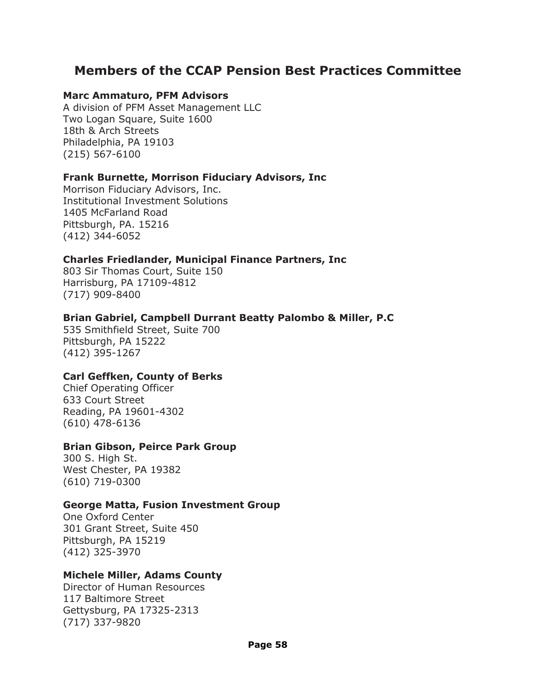# **Members of the CCAP Pension Best Practices Committee**

#### **Marc Ammaturo, PFM Advisors**

A division of PFM Asset Management LLC Two Logan Square, Suite 1600 18th & Arch Streets Philadelphia, PA 19103 (215) 567-6100

#### **Frank Burnette, Morrison Fiduciary Advisors, Inc**

Morrison Fiduciary Advisors, Inc. Institutional Investment Solutions 1405 McFarland Road Pittsburgh, PA. 15216 (412) 344-6052

#### **Charles Friedlander, Municipal Finance Partners, Inc**

803 Sir Thomas Court, Suite 150 Harrisburg, PA 17109-4812 (717) 909-8400

#### **Brian Gabriel, Campbell Durrant Beatty Palombo & Miller, P.C**

535 Smithfield Street, Suite 700 Pittsburgh, PA 15222 (412) 395-1267

#### **Carl Geffken, County of Berks**

Chief Operating Officer 633 Court Street Reading, PA 19601-4302 (610) 478-6136

#### **Brian Gibson, Peirce Park Group**

300 S. High St. West Chester, PA 19382 (610) 719-0300

#### **George Matta, Fusion Investment Group**

One Oxford Center 301 Grant Street, Suite 450 Pittsburgh, PA 15219 (412) 325-3970

#### **Michele Miller, Adams County**

Director of Human Resources 117 Baltimore Street Gettysburg, PA 17325-2313 (717) 337-9820